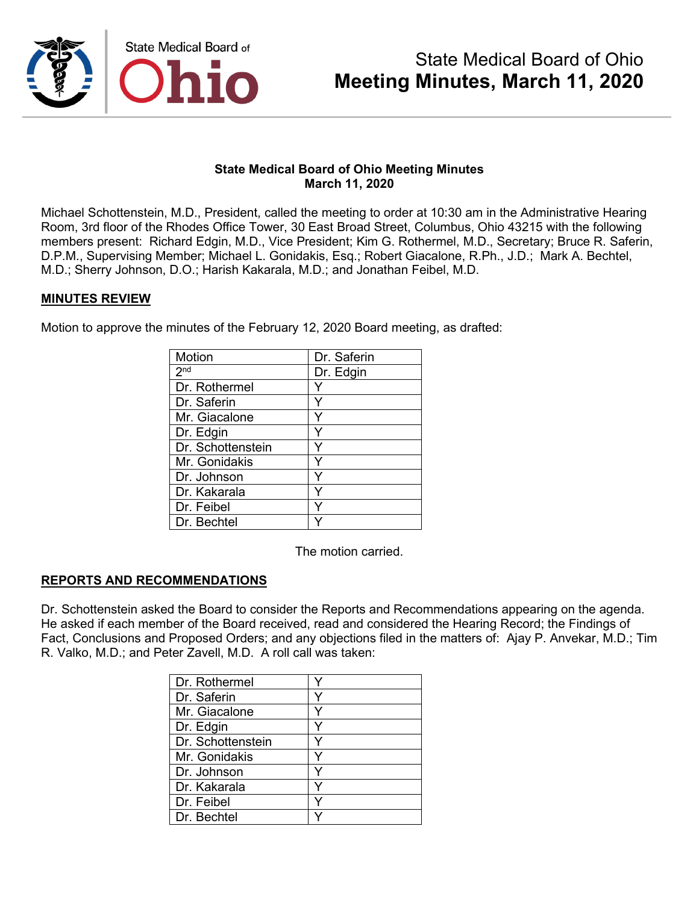

#### **State Medical Board of Ohio Meeting Minutes March 11, 2020**

Michael Schottenstein, M.D., President, called the meeting to order at 10:30 am in the Administrative Hearing Room, 3rd floor of the Rhodes Office Tower, 30 East Broad Street, Columbus, Ohio 43215 with the following members present: Richard Edgin, M.D., Vice President; Kim G. Rothermel, M.D., Secretary; Bruce R. Saferin, D.P.M., Supervising Member; Michael L. Gonidakis, Esq.; Robert Giacalone, R.Ph., J.D.; Mark A. Bechtel, M.D.; Sherry Johnson, D.O.; Harish Kakarala, M.D.; and Jonathan Feibel, M.D.

#### **MINUTES REVIEW**

Motion to approve the minutes of the February 12, 2020 Board meeting, as drafted:

| Motion            | Dr. Saferin |
|-------------------|-------------|
| 2 <sup>nd</sup>   | Dr. Edgin   |
| Dr. Rothermel     |             |
| Dr. Saferin       |             |
| Mr. Giacalone     |             |
| Dr. Edgin         | Y           |
| Dr. Schottenstein |             |
| Mr. Gonidakis     | Y           |
| Dr. Johnson       | Y           |
| Dr. Kakarala      | Y           |
| Dr. Feibel        | Y           |
| Dr. Bechtel       |             |

The motion carried.

#### **REPORTS AND RECOMMENDATIONS**

Dr. Schottenstein asked the Board to consider the Reports and Recommendations appearing on the agenda. He asked if each member of the Board received, read and considered the Hearing Record; the Findings of Fact, Conclusions and Proposed Orders; and any objections filed in the matters of: Ajay P. Anvekar, M.D.; Tim R. Valko, M.D.; and Peter Zavell, M.D. A roll call was taken:

| Dr. Rothermel     |  |
|-------------------|--|
| Dr. Saferin       |  |
| Mr. Giacalone     |  |
| Dr. Edgin         |  |
| Dr. Schottenstein |  |
| Mr. Gonidakis     |  |
| Dr. Johnson       |  |
| Dr. Kakarala      |  |
| Dr. Feibel        |  |
| Dr. Bechtel       |  |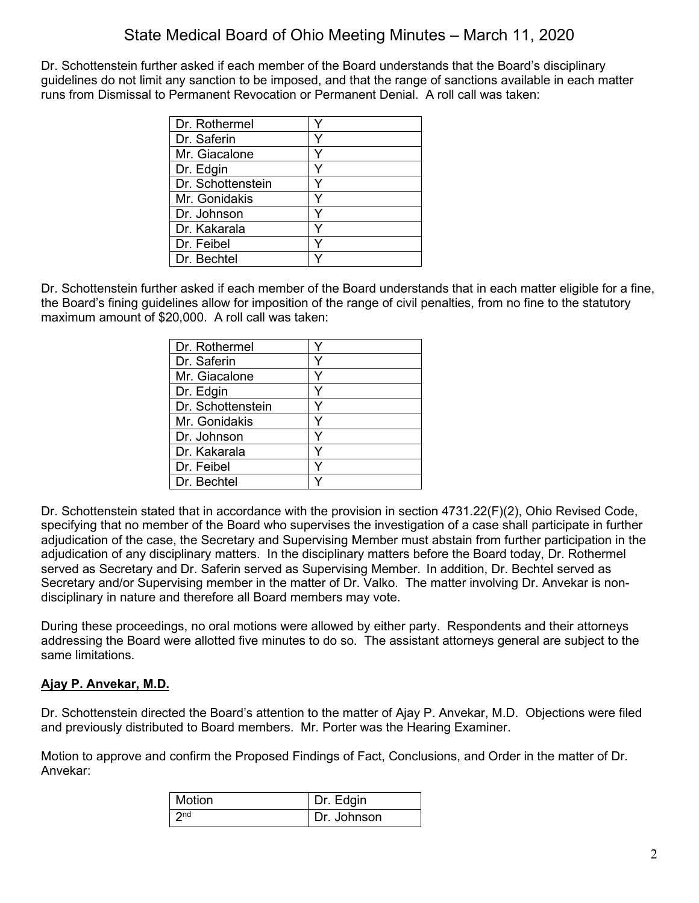Dr. Schottenstein further asked if each member of the Board understands that the Board's disciplinary guidelines do not limit any sanction to be imposed, and that the range of sanctions available in each matter runs from Dismissal to Permanent Revocation or Permanent Denial. A roll call was taken:

| Dr. Rothermel     |  |
|-------------------|--|
| Dr. Saferin       |  |
| Mr. Giacalone     |  |
| Dr. Edgin         |  |
| Dr. Schottenstein |  |
| Mr. Gonidakis     |  |
| Dr. Johnson       |  |
| Dr. Kakarala      |  |
| Dr. Feibel        |  |
| Dr. Bechtel       |  |

Dr. Schottenstein further asked if each member of the Board understands that in each matter eligible for a fine, the Board's fining guidelines allow for imposition of the range of civil penalties, from no fine to the statutory maximum amount of \$20,000. A roll call was taken:

| Dr. Rothermel     |  |
|-------------------|--|
| Dr. Saferin       |  |
| Mr. Giacalone     |  |
| Dr. Edgin         |  |
| Dr. Schottenstein |  |
| Mr. Gonidakis     |  |
| Dr. Johnson       |  |
| Dr. Kakarala      |  |
| Dr. Feibel        |  |
| Dr. Bechtel       |  |

Dr. Schottenstein stated that in accordance with the provision in section 4731.22(F)(2), Ohio Revised Code, specifying that no member of the Board who supervises the investigation of a case shall participate in further adjudication of the case, the Secretary and Supervising Member must abstain from further participation in the adjudication of any disciplinary matters. In the disciplinary matters before the Board today, Dr. Rothermel served as Secretary and Dr. Saferin served as Supervising Member. In addition, Dr. Bechtel served as Secretary and/or Supervising member in the matter of Dr. Valko. The matter involving Dr. Anvekar is nondisciplinary in nature and therefore all Board members may vote.

During these proceedings, no oral motions were allowed by either party. Respondents and their attorneys addressing the Board were allotted five minutes to do so. The assistant attorneys general are subject to the same limitations.

## **Ajay P. Anvekar, M.D.**

Dr. Schottenstein directed the Board's attention to the matter of Ajay P. Anvekar, M.D. Objections were filed and previously distributed to Board members. Mr. Porter was the Hearing Examiner.

Motion to approve and confirm the Proposed Findings of Fact, Conclusions, and Order in the matter of Dr. Anvekar:

| Motion          | Dr. Edgin   |
|-----------------|-------------|
| 2 <sub>nd</sub> | Dr. Johnson |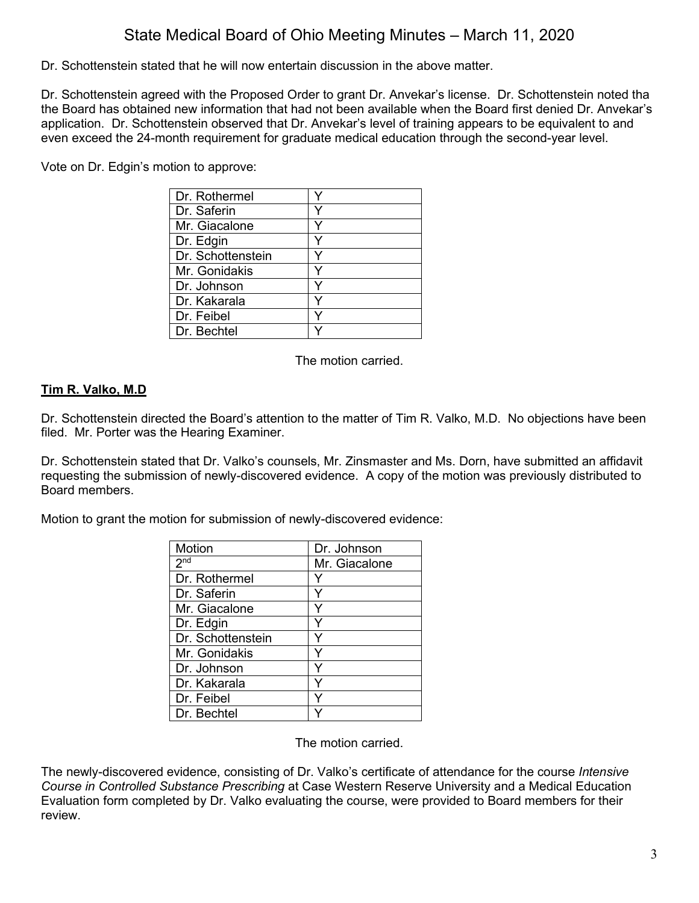Dr. Schottenstein stated that he will now entertain discussion in the above matter.

Dr. Schottenstein agreed with the Proposed Order to grant Dr. Anvekar's license. Dr. Schottenstein noted tha the Board has obtained new information that had not been available when the Board first denied Dr. Anvekar's application. Dr. Schottenstein observed that Dr. Anvekar's level of training appears to be equivalent to and even exceed the 24-month requirement for graduate medical education through the second-year level.

Vote on Dr. Edgin's motion to approve:

| Dr. Rothermel     |  |
|-------------------|--|
| Dr. Saferin       |  |
| Mr. Giacalone     |  |
| Dr. Edgin         |  |
| Dr. Schottenstein |  |
| Mr. Gonidakis     |  |
| Dr. Johnson       |  |
| Dr. Kakarala      |  |
| Dr. Feibel        |  |
| Dr. Bechtel       |  |

The motion carried.

## **Tim R. Valko, M.D**

Dr. Schottenstein directed the Board's attention to the matter of Tim R. Valko, M.D. No objections have been filed. Mr. Porter was the Hearing Examiner.

Dr. Schottenstein stated that Dr. Valko's counsels, Mr. Zinsmaster and Ms. Dorn, have submitted an affidavit requesting the submission of newly-discovered evidence. A copy of the motion was previously distributed to Board members.

Motion to grant the motion for submission of newly-discovered evidence:

| <b>Motion</b>     | Dr. Johnson   |
|-------------------|---------------|
| 2 <sub>nd</sub>   | Mr. Giacalone |
| Dr. Rothermel     |               |
| Dr. Saferin       |               |
| Mr. Giacalone     |               |
| Dr. Edgin         |               |
| Dr. Schottenstein |               |
| Mr. Gonidakis     |               |
| Dr. Johnson       |               |
| Dr. Kakarala      |               |
| Dr. Feibel        |               |
| Dr. Bechtel       |               |

The motion carried.

The newly-discovered evidence, consisting of Dr. Valko's certificate of attendance for the course *Intensive Course in Controlled Substance Prescribing* at Case Western Reserve University and a Medical Education Evaluation form completed by Dr. Valko evaluating the course, were provided to Board members for their review.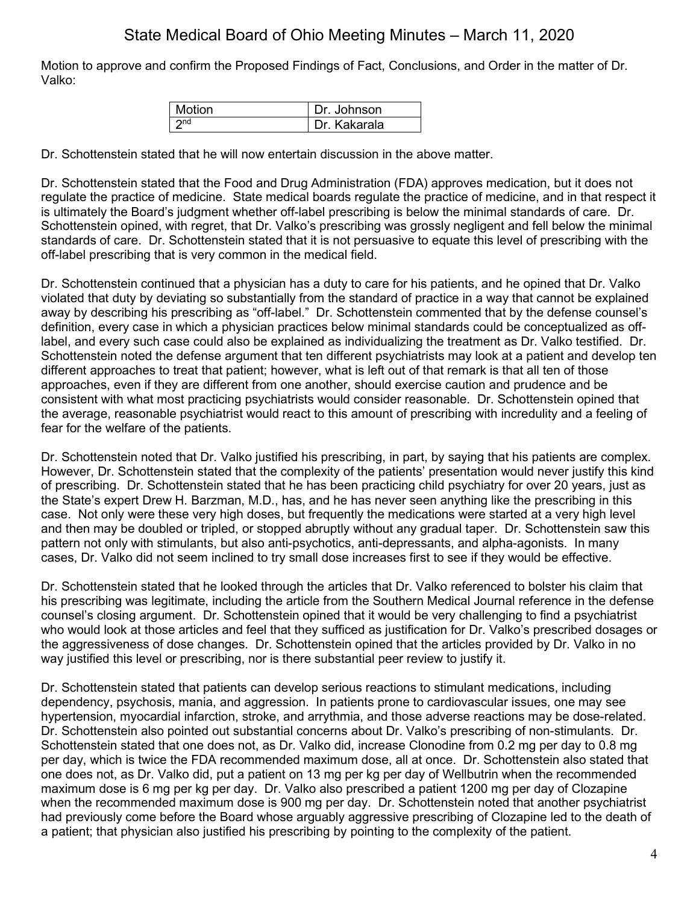Motion to approve and confirm the Proposed Findings of Fact, Conclusions, and Order in the matter of Dr. Valko:

| <b>Motion</b> | Dr. Johnson  |
|---------------|--------------|
|               | Dr. Kakarala |

Dr. Schottenstein stated that he will now entertain discussion in the above matter.

Dr. Schottenstein stated that the Food and Drug Administration (FDA) approves medication, but it does not regulate the practice of medicine. State medical boards regulate the practice of medicine, and in that respect it is ultimately the Board's judgment whether off-label prescribing is below the minimal standards of care. Dr. Schottenstein opined, with regret, that Dr. Valko's prescribing was grossly negligent and fell below the minimal standards of care. Dr. Schottenstein stated that it is not persuasive to equate this level of prescribing with the off-label prescribing that is very common in the medical field.

Dr. Schottenstein continued that a physician has a duty to care for his patients, and he opined that Dr. Valko violated that duty by deviating so substantially from the standard of practice in a way that cannot be explained away by describing his prescribing as "off-label." Dr. Schottenstein commented that by the defense counsel's definition, every case in which a physician practices below minimal standards could be conceptualized as offlabel, and every such case could also be explained as individualizing the treatment as Dr. Valko testified. Dr. Schottenstein noted the defense argument that ten different psychiatrists may look at a patient and develop ten different approaches to treat that patient; however, what is left out of that remark is that all ten of those approaches, even if they are different from one another, should exercise caution and prudence and be consistent with what most practicing psychiatrists would consider reasonable. Dr. Schottenstein opined that the average, reasonable psychiatrist would react to this amount of prescribing with incredulity and a feeling of fear for the welfare of the patients.

Dr. Schottenstein noted that Dr. Valko justified his prescribing, in part, by saying that his patients are complex. However, Dr. Schottenstein stated that the complexity of the patients' presentation would never justify this kind of prescribing. Dr. Schottenstein stated that he has been practicing child psychiatry for over 20 years, just as the State's expert Drew H. Barzman, M.D., has, and he has never seen anything like the prescribing in this case. Not only were these very high doses, but frequently the medications were started at a very high level and then may be doubled or tripled, or stopped abruptly without any gradual taper. Dr. Schottenstein saw this pattern not only with stimulants, but also anti-psychotics, anti-depressants, and alpha-agonists. In many cases, Dr. Valko did not seem inclined to try small dose increases first to see if they would be effective.

Dr. Schottenstein stated that he looked through the articles that Dr. Valko referenced to bolster his claim that his prescribing was legitimate, including the article from the Southern Medical Journal reference in the defense counsel's closing argument. Dr. Schottenstein opined that it would be very challenging to find a psychiatrist who would look at those articles and feel that they sufficed as justification for Dr. Valko's prescribed dosages or the aggressiveness of dose changes. Dr. Schottenstein opined that the articles provided by Dr. Valko in no way justified this level or prescribing, nor is there substantial peer review to justify it.

Dr. Schottenstein stated that patients can develop serious reactions to stimulant medications, including dependency, psychosis, mania, and aggression. In patients prone to cardiovascular issues, one may see hypertension, myocardial infarction, stroke, and arrythmia, and those adverse reactions may be dose-related. Dr. Schottenstein also pointed out substantial concerns about Dr. Valko's prescribing of non-stimulants. Dr. Schottenstein stated that one does not, as Dr. Valko did, increase Clonodine from 0.2 mg per day to 0.8 mg per day, which is twice the FDA recommended maximum dose, all at once. Dr. Schottenstein also stated that one does not, as Dr. Valko did, put a patient on 13 mg per kg per day of Wellbutrin when the recommended maximum dose is 6 mg per kg per day. Dr. Valko also prescribed a patient 1200 mg per day of Clozapine when the recommended maximum dose is 900 mg per day. Dr. Schottenstein noted that another psychiatrist had previously come before the Board whose arguably aggressive prescribing of Clozapine led to the death of a patient; that physician also justified his prescribing by pointing to the complexity of the patient.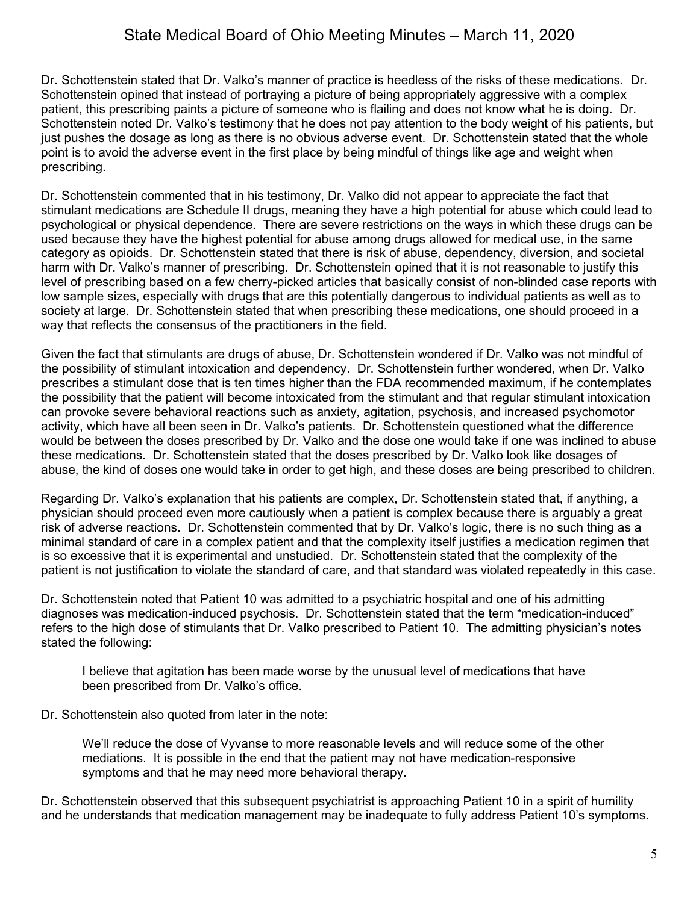Dr. Schottenstein stated that Dr. Valko's manner of practice is heedless of the risks of these medications. Dr. Schottenstein opined that instead of portraying a picture of being appropriately aggressive with a complex patient, this prescribing paints a picture of someone who is flailing and does not know what he is doing. Dr. Schottenstein noted Dr. Valko's testimony that he does not pay attention to the body weight of his patients, but just pushes the dosage as long as there is no obvious adverse event. Dr. Schottenstein stated that the whole point is to avoid the adverse event in the first place by being mindful of things like age and weight when prescribing.

Dr. Schottenstein commented that in his testimony, Dr. Valko did not appear to appreciate the fact that stimulant medications are Schedule II drugs, meaning they have a high potential for abuse which could lead to psychological or physical dependence. There are severe restrictions on the ways in which these drugs can be used because they have the highest potential for abuse among drugs allowed for medical use, in the same category as opioids. Dr. Schottenstein stated that there is risk of abuse, dependency, diversion, and societal harm with Dr. Valko's manner of prescribing. Dr. Schottenstein opined that it is not reasonable to justify this level of prescribing based on a few cherry-picked articles that basically consist of non-blinded case reports with low sample sizes, especially with drugs that are this potentially dangerous to individual patients as well as to society at large. Dr. Schottenstein stated that when prescribing these medications, one should proceed in a way that reflects the consensus of the practitioners in the field.

Given the fact that stimulants are drugs of abuse, Dr. Schottenstein wondered if Dr. Valko was not mindful of the possibility of stimulant intoxication and dependency. Dr. Schottenstein further wondered, when Dr. Valko prescribes a stimulant dose that is ten times higher than the FDA recommended maximum, if he contemplates the possibility that the patient will become intoxicated from the stimulant and that regular stimulant intoxication can provoke severe behavioral reactions such as anxiety, agitation, psychosis, and increased psychomotor activity, which have all been seen in Dr. Valko's patients. Dr. Schottenstein questioned what the difference would be between the doses prescribed by Dr. Valko and the dose one would take if one was inclined to abuse these medications. Dr. Schottenstein stated that the doses prescribed by Dr. Valko look like dosages of abuse, the kind of doses one would take in order to get high, and these doses are being prescribed to children.

Regarding Dr. Valko's explanation that his patients are complex, Dr. Schottenstein stated that, if anything, a physician should proceed even more cautiously when a patient is complex because there is arguably a great risk of adverse reactions. Dr. Schottenstein commented that by Dr. Valko's logic, there is no such thing as a minimal standard of care in a complex patient and that the complexity itself justifies a medication regimen that is so excessive that it is experimental and unstudied. Dr. Schottenstein stated that the complexity of the patient is not justification to violate the standard of care, and that standard was violated repeatedly in this case.

Dr. Schottenstein noted that Patient 10 was admitted to a psychiatric hospital and one of his admitting diagnoses was medication-induced psychosis. Dr. Schottenstein stated that the term "medication-induced" refers to the high dose of stimulants that Dr. Valko prescribed to Patient 10. The admitting physician's notes stated the following:

I believe that agitation has been made worse by the unusual level of medications that have been prescribed from Dr. Valko's office.

Dr. Schottenstein also quoted from later in the note:

We'll reduce the dose of Vyvanse to more reasonable levels and will reduce some of the other mediations. It is possible in the end that the patient may not have medication-responsive symptoms and that he may need more behavioral therapy.

Dr. Schottenstein observed that this subsequent psychiatrist is approaching Patient 10 in a spirit of humility and he understands that medication management may be inadequate to fully address Patient 10's symptoms.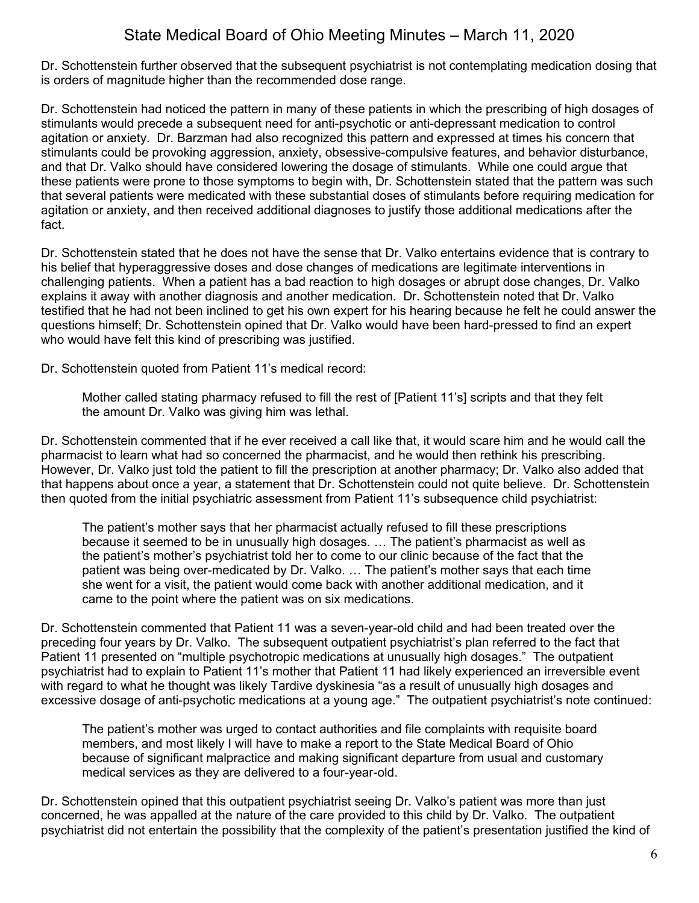Dr. Schottenstein further observed that the subsequent psychiatrist is not contemplating medication dosing that is orders of magnitude higher than the recommended dose range.

Dr. Schottenstein had noticed the pattern in many of these patients in which the prescribing of high dosages of stimulants would precede a subsequent need for anti-psychotic or anti-depressant medication to control agitation or anxiety. Dr. Barzman had also recognized this pattern and expressed at times his concern that stimulants could be provoking aggression, anxiety, obsessive-compulsive features, and behavior disturbance, and that Dr. Valko should have considered lowering the dosage of stimulants. While one could argue that these patients were prone to those symptoms to begin with, Dr. Schottenstein stated that the pattern was such that several patients were medicated with these substantial doses of stimulants before requiring medication for agitation or anxiety, and then received additional diagnoses to justify those additional medications after the fact.

Dr. Schottenstein stated that he does not have the sense that Dr. Valko entertains evidence that is contrary to his belief that hyperaggressive doses and dose changes of medications are legitimate interventions in challenging patients. When a patient has a bad reaction to high dosages or abrupt dose changes, Dr. Valko explains it away with another diagnosis and another medication. Dr. Schottenstein noted that Dr. Valko testified that he had not been inclined to get his own expert for his hearing because he felt he could answer the questions himself; Dr. Schottenstein opined that Dr. Valko would have been hard-pressed to find an expert who would have felt this kind of prescribing was justified.

Dr. Schottenstein quoted from Patient 11's medical record:

Mother called stating pharmacy refused to fill the rest of [Patient 11's] scripts and that they felt the amount Dr. Valko was giving him was lethal.

Dr. Schottenstein commented that if he ever received a call like that, it would scare him and he would call the pharmacist to learn what had so concerned the pharmacist, and he would then rethink his prescribing. However, Dr. Valko just told the patient to fill the prescription at another pharmacy; Dr. Valko also added that that happens about once a year, a statement that Dr. Schottenstein could not quite believe. Dr. Schottenstein then quoted from the initial psychiatric assessment from Patient 11's subsequence child psychiatrist:

The patient's mother says that her pharmacist actually refused to fill these prescriptions because it seemed to be in unusually high dosages. … The patient's pharmacist as well as the patient's mother's psychiatrist told her to come to our clinic because of the fact that the patient was being over-medicated by Dr. Valko. … The patient's mother says that each time she went for a visit, the patient would come back with another additional medication, and it came to the point where the patient was on six medications.

Dr. Schottenstein commented that Patient 11 was a seven-year-old child and had been treated over the preceding four years by Dr. Valko. The subsequent outpatient psychiatrist's plan referred to the fact that Patient 11 presented on "multiple psychotropic medications at unusually high dosages." The outpatient psychiatrist had to explain to Patient 11's mother that Patient 11 had likely experienced an irreversible event with regard to what he thought was likely Tardive dyskinesia "as a result of unusually high dosages and excessive dosage of anti-psychotic medications at a young age." The outpatient psychiatrist's note continued:

The patient's mother was urged to contact authorities and file complaints with requisite board members, and most likely I will have to make a report to the State Medical Board of Ohio because of significant malpractice and making significant departure from usual and customary medical services as they are delivered to a four-year-old.

Dr. Schottenstein opined that this outpatient psychiatrist seeing Dr. Valko's patient was more than just concerned, he was appalled at the nature of the care provided to this child by Dr. Valko. The outpatient psychiatrist did not entertain the possibility that the complexity of the patient's presentation justified the kind of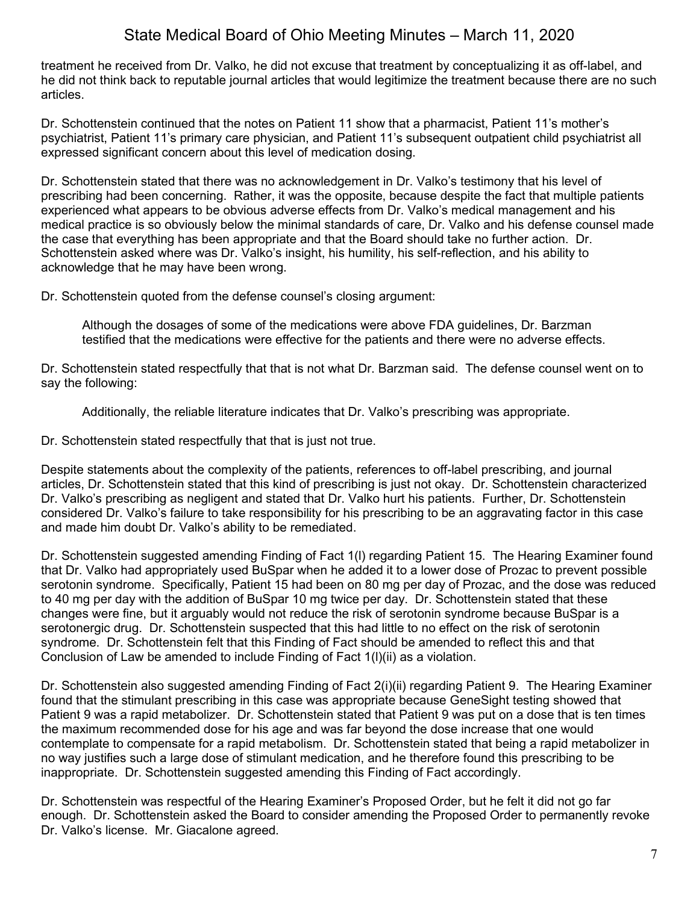treatment he received from Dr. Valko, he did not excuse that treatment by conceptualizing it as off-label, and he did not think back to reputable journal articles that would legitimize the treatment because there are no such articles.

Dr. Schottenstein continued that the notes on Patient 11 show that a pharmacist, Patient 11's mother's psychiatrist, Patient 11's primary care physician, and Patient 11's subsequent outpatient child psychiatrist all expressed significant concern about this level of medication dosing.

Dr. Schottenstein stated that there was no acknowledgement in Dr. Valko's testimony that his level of prescribing had been concerning. Rather, it was the opposite, because despite the fact that multiple patients experienced what appears to be obvious adverse effects from Dr. Valko's medical management and his medical practice is so obviously below the minimal standards of care, Dr. Valko and his defense counsel made the case that everything has been appropriate and that the Board should take no further action. Dr. Schottenstein asked where was Dr. Valko's insight, his humility, his self-reflection, and his ability to acknowledge that he may have been wrong.

Dr. Schottenstein quoted from the defense counsel's closing argument:

Although the dosages of some of the medications were above FDA guidelines, Dr. Barzman testified that the medications were effective for the patients and there were no adverse effects.

Dr. Schottenstein stated respectfully that that is not what Dr. Barzman said. The defense counsel went on to say the following:

Additionally, the reliable literature indicates that Dr. Valko's prescribing was appropriate.

Dr. Schottenstein stated respectfully that that is just not true.

Despite statements about the complexity of the patients, references to off-label prescribing, and journal articles, Dr. Schottenstein stated that this kind of prescribing is just not okay. Dr. Schottenstein characterized Dr. Valko's prescribing as negligent and stated that Dr. Valko hurt his patients. Further, Dr. Schottenstein considered Dr. Valko's failure to take responsibility for his prescribing to be an aggravating factor in this case and made him doubt Dr. Valko's ability to be remediated.

Dr. Schottenstein suggested amending Finding of Fact 1(l) regarding Patient 15. The Hearing Examiner found that Dr. Valko had appropriately used BuSpar when he added it to a lower dose of Prozac to prevent possible serotonin syndrome. Specifically, Patient 15 had been on 80 mg per day of Prozac, and the dose was reduced to 40 mg per day with the addition of BuSpar 10 mg twice per day. Dr. Schottenstein stated that these changes were fine, but it arguably would not reduce the risk of serotonin syndrome because BuSpar is a serotonergic drug. Dr. Schottenstein suspected that this had little to no effect on the risk of serotonin syndrome. Dr. Schottenstein felt that this Finding of Fact should be amended to reflect this and that Conclusion of Law be amended to include Finding of Fact 1(l)(ii) as a violation.

Dr. Schottenstein also suggested amending Finding of Fact 2(i)(ii) regarding Patient 9. The Hearing Examiner found that the stimulant prescribing in this case was appropriate because GeneSight testing showed that Patient 9 was a rapid metabolizer. Dr. Schottenstein stated that Patient 9 was put on a dose that is ten times the maximum recommended dose for his age and was far beyond the dose increase that one would contemplate to compensate for a rapid metabolism. Dr. Schottenstein stated that being a rapid metabolizer in no way justifies such a large dose of stimulant medication, and he therefore found this prescribing to be inappropriate. Dr. Schottenstein suggested amending this Finding of Fact accordingly.

Dr. Schottenstein was respectful of the Hearing Examiner's Proposed Order, but he felt it did not go far enough. Dr. Schottenstein asked the Board to consider amending the Proposed Order to permanently revoke Dr. Valko's license. Mr. Giacalone agreed.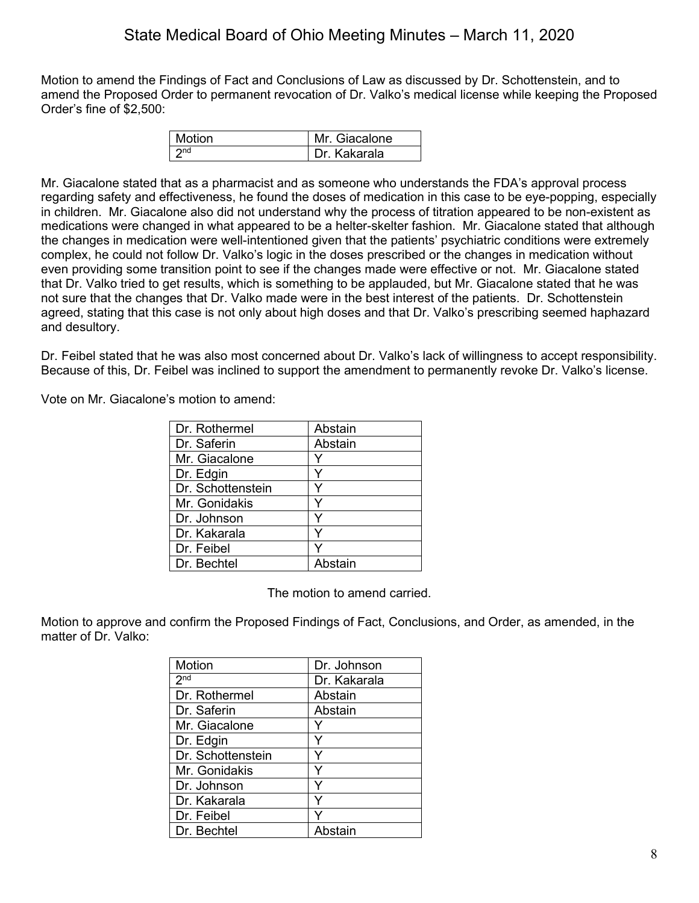Motion to amend the Findings of Fact and Conclusions of Law as discussed by Dr. Schottenstein, and to amend the Proposed Order to permanent revocation of Dr. Valko's medical license while keeping the Proposed Order's fine of \$2,500:

| Motion | Mr. Giacalone  |
|--------|----------------|
|        | l Dr. Kakarala |

Mr. Giacalone stated that as a pharmacist and as someone who understands the FDA's approval process regarding safety and effectiveness, he found the doses of medication in this case to be eye-popping, especially in children. Mr. Giacalone also did not understand why the process of titration appeared to be non-existent as medications were changed in what appeared to be a helter-skelter fashion. Mr. Giacalone stated that although the changes in medication were well-intentioned given that the patients' psychiatric conditions were extremely complex, he could not follow Dr. Valko's logic in the doses prescribed or the changes in medication without even providing some transition point to see if the changes made were effective or not. Mr. Giacalone stated that Dr. Valko tried to get results, which is something to be applauded, but Mr. Giacalone stated that he was not sure that the changes that Dr. Valko made were in the best interest of the patients. Dr. Schottenstein agreed, stating that this case is not only about high doses and that Dr. Valko's prescribing seemed haphazard and desultory.

Dr. Feibel stated that he was also most concerned about Dr. Valko's lack of willingness to accept responsibility. Because of this, Dr. Feibel was inclined to support the amendment to permanently revoke Dr. Valko's license.

Vote on Mr. Giacalone's motion to amend:

| Dr. Rothermel     | Abstain |
|-------------------|---------|
| Dr. Saferin       | Abstain |
| Mr. Giacalone     |         |
| Dr. Edgin         |         |
| Dr. Schottenstein | Y       |
| Mr. Gonidakis     | Y       |
| Dr. Johnson       |         |
| Dr. Kakarala      | ⋎       |
| Dr. Feibel        |         |
| Dr. Bechtel       | Abstain |

The motion to amend carried.

Motion to approve and confirm the Proposed Findings of Fact, Conclusions, and Order, as amended, in the matter of Dr. Valko:

| Motion            | Dr. Johnson  |
|-------------------|--------------|
| 2 <sub>nd</sub>   | Dr. Kakarala |
| Dr. Rothermel     | Abstain      |
| Dr. Saferin       | Abstain      |
| Mr. Giacalone     |              |
| Dr. Edgin         |              |
| Dr. Schottenstein |              |
| Mr. Gonidakis     |              |
| Dr. Johnson       |              |
| Dr. Kakarala      | Y            |
| Dr. Feibel        |              |
| Dr. Bechtel       | Abstain      |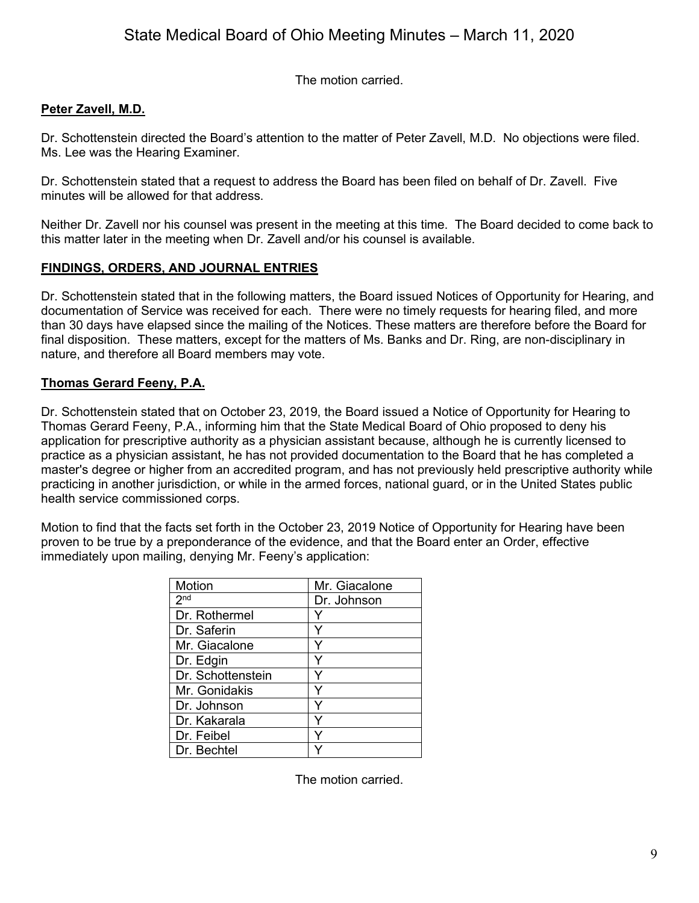The motion carried.

# **Peter Zavell, M.D.**

Dr. Schottenstein directed the Board's attention to the matter of Peter Zavell, M.D. No objections were filed. Ms. Lee was the Hearing Examiner.

Dr. Schottenstein stated that a request to address the Board has been filed on behalf of Dr. Zavell. Five minutes will be allowed for that address.

Neither Dr. Zavell nor his counsel was present in the meeting at this time. The Board decided to come back to this matter later in the meeting when Dr. Zavell and/or his counsel is available.

## **FINDINGS, ORDERS, AND JOURNAL ENTRIES**

Dr. Schottenstein stated that in the following matters, the Board issued Notices of Opportunity for Hearing, and documentation of Service was received for each. There were no timely requests for hearing filed, and more than 30 days have elapsed since the mailing of the Notices. These matters are therefore before the Board for final disposition. These matters, except for the matters of Ms. Banks and Dr. Ring, are non-disciplinary in nature, and therefore all Board members may vote.

## **Thomas Gerard Feeny, P.A.**

Dr. Schottenstein stated that on October 23, 2019, the Board issued a Notice of Opportunity for Hearing to Thomas Gerard Feeny, P.A., informing him that the State Medical Board of Ohio proposed to deny his application for prescriptive authority as a physician assistant because, although he is currently licensed to practice as a physician assistant, he has not provided documentation to the Board that he has completed a master's degree or higher from an accredited program, and has not previously held prescriptive authority while practicing in another jurisdiction, or while in the armed forces, national guard, or in the United States public health service commissioned corps.

Motion to find that the facts set forth in the October 23, 2019 Notice of Opportunity for Hearing have been proven to be true by a preponderance of the evidence, and that the Board enter an Order, effective immediately upon mailing, denying Mr. Feeny's application:

| <b>Motion</b>     | Mr. Giacalone |
|-------------------|---------------|
| 2 <sub>nd</sub>   | Dr. Johnson   |
| Dr. Rothermel     |               |
| Dr. Saferin       |               |
| Mr. Giacalone     |               |
| Dr. Edgin         |               |
| Dr. Schottenstein | ٧             |
| Mr. Gonidakis     | ٧             |
| Dr. Johnson       | Y             |
| Dr. Kakarala      | Y             |
| Dr. Feibel        | v             |
| Dr. Bechtel       |               |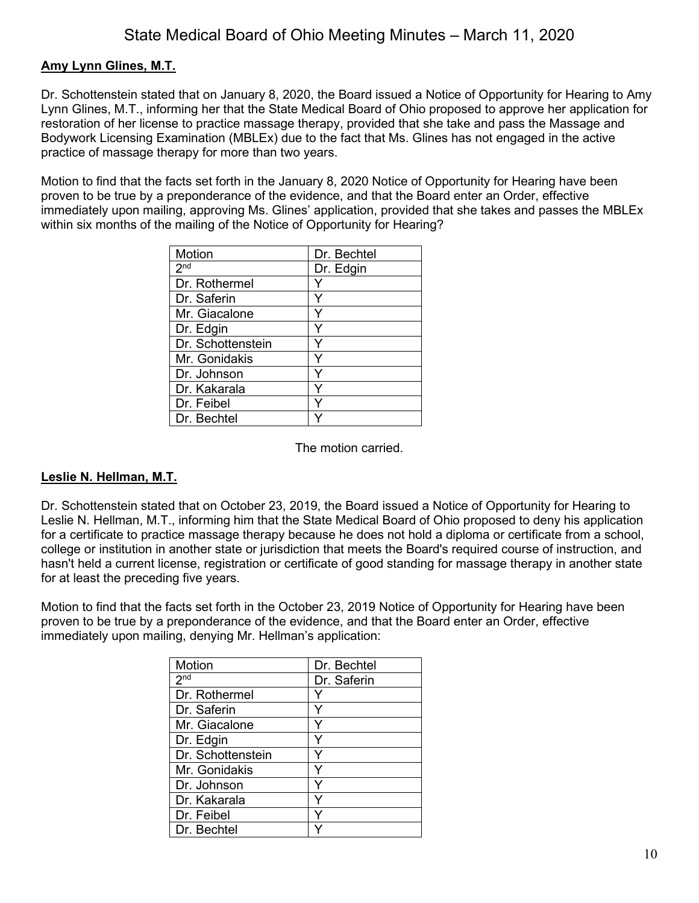### **Amy Lynn Glines, M.T.**

Dr. Schottenstein stated that on January 8, 2020, the Board issued a Notice of Opportunity for Hearing to Amy Lynn Glines, M.T., informing her that the State Medical Board of Ohio proposed to approve her application for restoration of her license to practice massage therapy, provided that she take and pass the Massage and Bodywork Licensing Examination (MBLEx) due to the fact that Ms. Glines has not engaged in the active practice of massage therapy for more than two years.

Motion to find that the facts set forth in the January 8, 2020 Notice of Opportunity for Hearing have been proven to be true by a preponderance of the evidence, and that the Board enter an Order, effective immediately upon mailing, approving Ms. Glines' application, provided that she takes and passes the MBLEx within six months of the mailing of the Notice of Opportunity for Hearing?

| Motion            | Dr. Bechtel |
|-------------------|-------------|
| 2 <sup>nd</sup>   | Dr. Edgin   |
| Dr. Rothermel     |             |
| Dr. Saferin       |             |
| Mr. Giacalone     |             |
| Dr. Edgin         |             |
| Dr. Schottenstein |             |
| Mr. Gonidakis     |             |
| Dr. Johnson       | Υ           |
| Dr. Kakarala      | ٧           |
| Dr. Feibel        | ٧           |
| Dr. Bechtel       |             |

The motion carried.

#### **Leslie N. Hellman, M.T.**

Dr. Schottenstein stated that on October 23, 2019, the Board issued a Notice of Opportunity for Hearing to Leslie N. Hellman, M.T., informing him that the State Medical Board of Ohio proposed to deny his application for a certificate to practice massage therapy because he does not hold a diploma or certificate from a school, college or institution in another state or jurisdiction that meets the Board's required course of instruction, and hasn't held a current license, registration or certificate of good standing for massage therapy in another state for at least the preceding five years.

Motion to find that the facts set forth in the October 23, 2019 Notice of Opportunity for Hearing have been proven to be true by a preponderance of the evidence, and that the Board enter an Order, effective immediately upon mailing, denying Mr. Hellman's application:

| Motion            | Dr. Bechtel |
|-------------------|-------------|
| 2 <sub>nd</sub>   | Dr. Saferin |
| Dr. Rothermel     |             |
| Dr. Saferin       |             |
| Mr. Giacalone     |             |
| Dr. Edgin         |             |
| Dr. Schottenstein |             |
| Mr. Gonidakis     |             |
| Dr. Johnson       | Y           |
| Dr. Kakarala      | Y           |
| Dr. Feibel        | Y           |
| Dr. Bechtel       |             |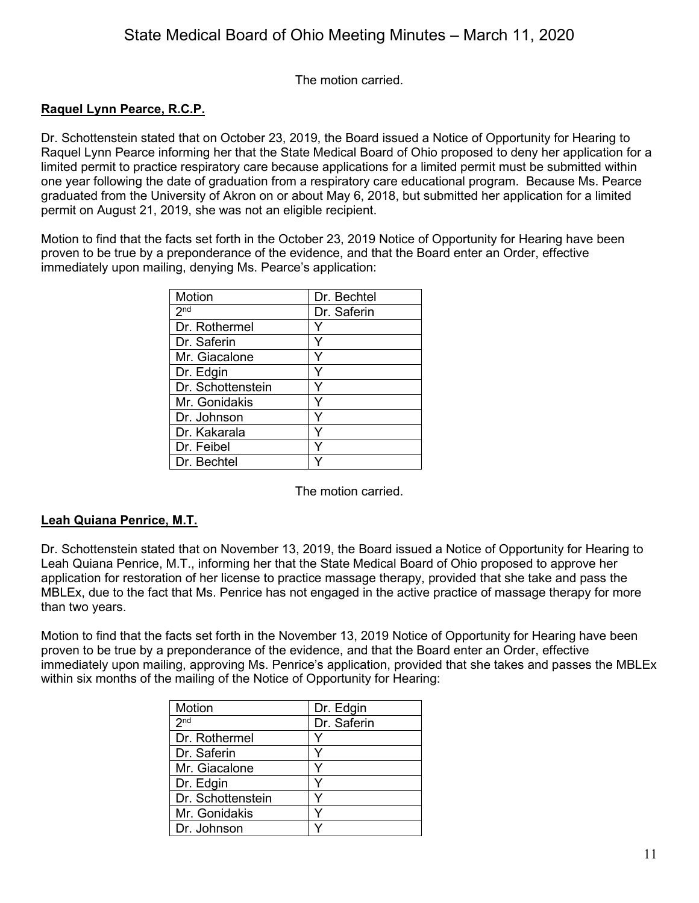The motion carried.

### **Raquel Lynn Pearce, R.C.P.**

Dr. Schottenstein stated that on October 23, 2019, the Board issued a Notice of Opportunity for Hearing to Raquel Lynn Pearce informing her that the State Medical Board of Ohio proposed to deny her application for a limited permit to practice respiratory care because applications for a limited permit must be submitted within one year following the date of graduation from a respiratory care educational program. Because Ms. Pearce graduated from the University of Akron on or about May 6, 2018, but submitted her application for a limited permit on August 21, 2019, she was not an eligible recipient.

Motion to find that the facts set forth in the October 23, 2019 Notice of Opportunity for Hearing have been proven to be true by a preponderance of the evidence, and that the Board enter an Order, effective immediately upon mailing, denying Ms. Pearce's application:

| Motion            | Dr. Bechtel |
|-------------------|-------------|
| 2 <sup>nd</sup>   | Dr. Saferin |
| Dr. Rothermel     |             |
| Dr. Saferin       |             |
| Mr. Giacalone     |             |
| Dr. Edgin         |             |
| Dr. Schottenstein |             |
| Mr. Gonidakis     | Y           |
| Dr. Johnson       | Y           |
| Dr. Kakarala      |             |
| Dr. Feibel        |             |
| Dr. Bechtel       |             |

The motion carried.

#### **Leah Quiana Penrice, M.T.**

Dr. Schottenstein stated that on November 13, 2019, the Board issued a Notice of Opportunity for Hearing to Leah Quiana Penrice, M.T., informing her that the State Medical Board of Ohio proposed to approve her application for restoration of her license to practice massage therapy, provided that she take and pass the MBLEx, due to the fact that Ms. Penrice has not engaged in the active practice of massage therapy for more than two years.

Motion to find that the facts set forth in the November 13, 2019 Notice of Opportunity for Hearing have been proven to be true by a preponderance of the evidence, and that the Board enter an Order, effective immediately upon mailing, approving Ms. Penrice's application, provided that she takes and passes the MBLEx within six months of the mailing of the Notice of Opportunity for Hearing:

| Motion            | Dr. Edgin   |
|-------------------|-------------|
| 2 <sup>nd</sup>   | Dr. Saferin |
| Dr. Rothermel     |             |
| Dr. Saferin       |             |
| Mr. Giacalone     |             |
| Dr. Edgin         |             |
| Dr. Schottenstein |             |
| Mr. Gonidakis     |             |
| Dr. Johnson       |             |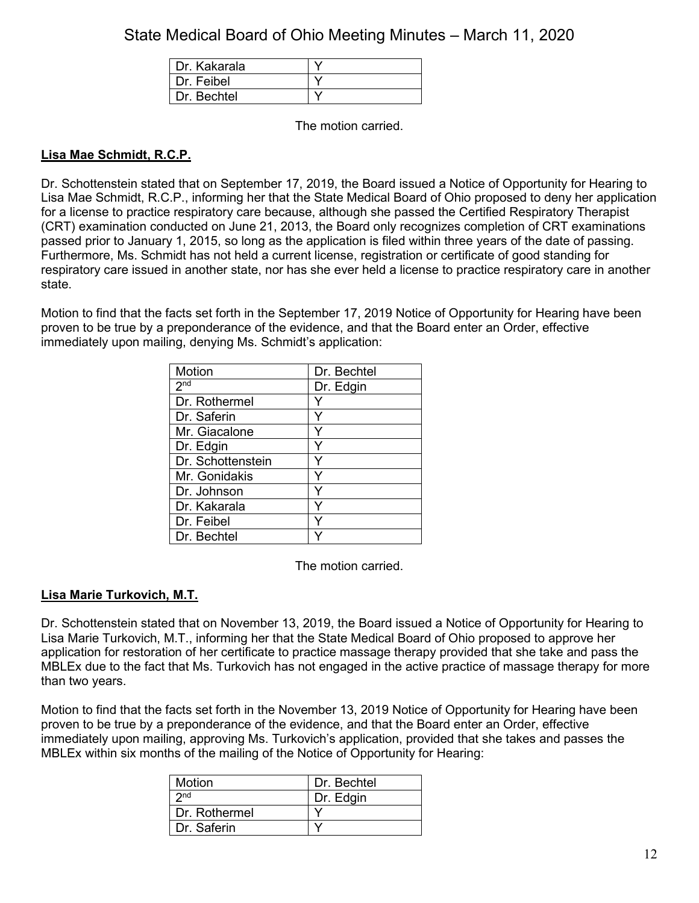| Dr. Kakarala |  |
|--------------|--|
| Dr. Feibel   |  |
| Dr Bechtel   |  |

The motion carried.

## **Lisa Mae Schmidt, R.C.P.**

Dr. Schottenstein stated that on September 17, 2019, the Board issued a Notice of Opportunity for Hearing to Lisa Mae Schmidt, R.C.P., informing her that the State Medical Board of Ohio proposed to deny her application for a license to practice respiratory care because, although she passed the Certified Respiratory Therapist (CRT) examination conducted on June 21, 2013, the Board only recognizes completion of CRT examinations passed prior to January 1, 2015, so long as the application is filed within three years of the date of passing. Furthermore, Ms. Schmidt has not held a current license, registration or certificate of good standing for respiratory care issued in another state, nor has she ever held a license to practice respiratory care in another state.

Motion to find that the facts set forth in the September 17, 2019 Notice of Opportunity for Hearing have been proven to be true by a preponderance of the evidence, and that the Board enter an Order, effective immediately upon mailing, denying Ms. Schmidt's application:

| Motion            | Dr. Bechtel |
|-------------------|-------------|
| 2 <sub>nd</sub>   | Dr. Edgin   |
| Dr. Rothermel     |             |
| Dr. Saferin       |             |
| Mr. Giacalone     |             |
| Dr. Edgin         |             |
| Dr. Schottenstein |             |
| Mr. Gonidakis     |             |
| Dr. Johnson       | ٧           |
| Dr. Kakarala      | v           |
| Dr. Feibel        |             |
| Dr. Bechtel       |             |

The motion carried.

## **Lisa Marie Turkovich, M.T.**

Dr. Schottenstein stated that on November 13, 2019, the Board issued a Notice of Opportunity for Hearing to Lisa Marie Turkovich, M.T., informing her that the State Medical Board of Ohio proposed to approve her application for restoration of her certificate to practice massage therapy provided that she take and pass the MBLEx due to the fact that Ms. Turkovich has not engaged in the active practice of massage therapy for more than two years.

Motion to find that the facts set forth in the November 13, 2019 Notice of Opportunity for Hearing have been proven to be true by a preponderance of the evidence, and that the Board enter an Order, effective immediately upon mailing, approving Ms. Turkovich's application, provided that she takes and passes the MBLEx within six months of the mailing of the Notice of Opportunity for Hearing:

| Motion          | Dr. Bechtel |
|-----------------|-------------|
| 2 <sub>nd</sub> | Dr. Edgin   |
| Dr. Rothermel   |             |
| Dr. Saferin     |             |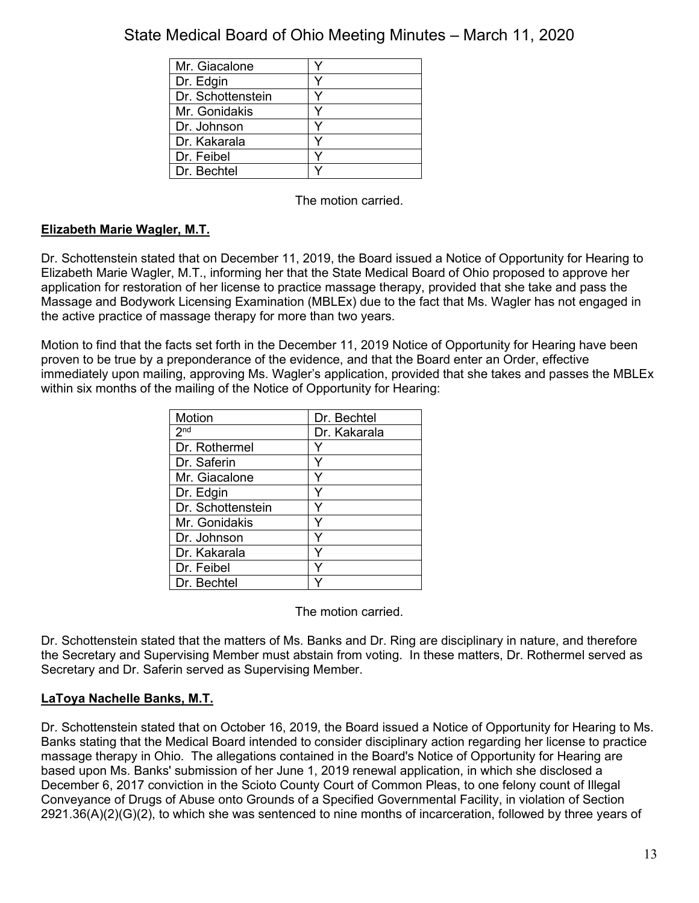| Mr. Giacalone     |  |
|-------------------|--|
| Dr. Edgin         |  |
| Dr. Schottenstein |  |
| Mr. Gonidakis     |  |
| Dr. Johnson       |  |
| Dr. Kakarala      |  |
| Dr. Feibel        |  |
| Dr. Bechtel       |  |

The motion carried.

# **Elizabeth Marie Wagler, M.T.**

Dr. Schottenstein stated that on December 11, 2019, the Board issued a Notice of Opportunity for Hearing to Elizabeth Marie Wagler, M.T., informing her that the State Medical Board of Ohio proposed to approve her application for restoration of her license to practice massage therapy, provided that she take and pass the Massage and Bodywork Licensing Examination (MBLEx) due to the fact that Ms. Wagler has not engaged in the active practice of massage therapy for more than two years.

Motion to find that the facts set forth in the December 11, 2019 Notice of Opportunity for Hearing have been proven to be true by a preponderance of the evidence, and that the Board enter an Order, effective immediately upon mailing, approving Ms. Wagler's application, provided that she takes and passes the MBLEx within six months of the mailing of the Notice of Opportunity for Hearing:

| <b>Motion</b>     | Dr. Bechtel  |
|-------------------|--------------|
| 2 <sup>nd</sup>   | Dr. Kakarala |
| Dr. Rothermel     |              |
| Dr. Saferin       |              |
| Mr. Giacalone     |              |
| Dr. Edgin         |              |
| Dr. Schottenstein |              |
| Mr. Gonidakis     |              |
| Dr. Johnson       | Y            |
| Dr. Kakarala      | Υ            |
| Dr. Feibel        | ٧            |
| Dr. Bechtel       |              |

The motion carried.

Dr. Schottenstein stated that the matters of Ms. Banks and Dr. Ring are disciplinary in nature, and therefore the Secretary and Supervising Member must abstain from voting. In these matters, Dr. Rothermel served as Secretary and Dr. Saferin served as Supervising Member.

## **LaToya Nachelle Banks, M.T.**

Dr. Schottenstein stated that on October 16, 2019, the Board issued a Notice of Opportunity for Hearing to Ms. Banks stating that the Medical Board intended to consider disciplinary action regarding her license to practice massage therapy in Ohio. The allegations contained in the Board's Notice of Opportunity for Hearing are based upon Ms. Banks' submission of her June 1, 2019 renewal application, in which she disclosed a December 6, 2017 conviction in the Scioto County Court of Common Pleas, to one felony count of Illegal Conveyance of Drugs of Abuse onto Grounds of a Specified Governmental Facility, in violation of Section 2921.36(A)(2)(G)(2), to which she was sentenced to nine months of incarceration, followed by three years of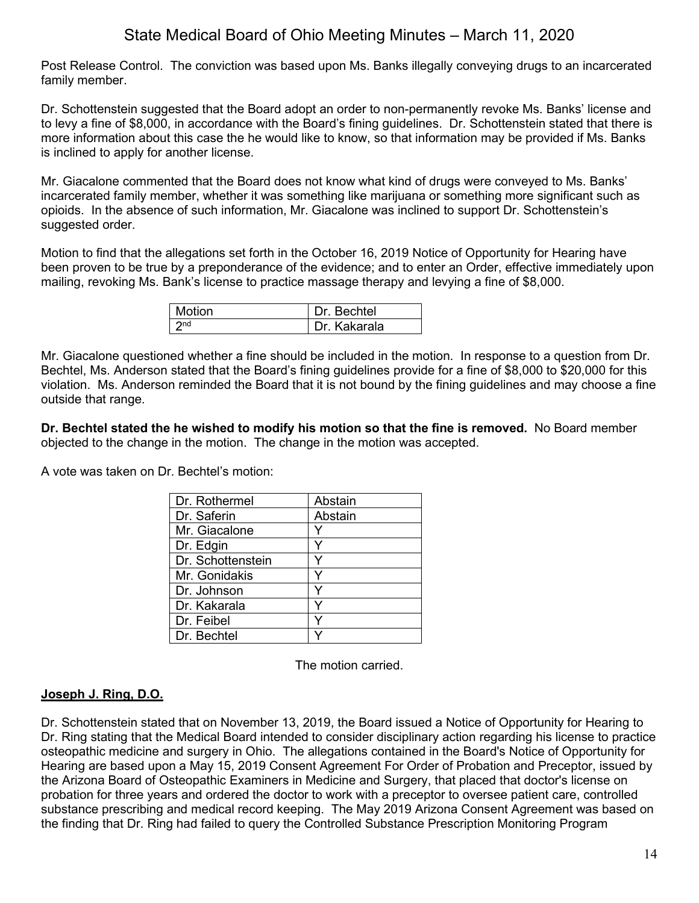Post Release Control. The conviction was based upon Ms. Banks illegally conveying drugs to an incarcerated family member.

Dr. Schottenstein suggested that the Board adopt an order to non-permanently revoke Ms. Banks' license and to levy a fine of \$8,000, in accordance with the Board's fining guidelines. Dr. Schottenstein stated that there is more information about this case the he would like to know, so that information may be provided if Ms. Banks is inclined to apply for another license.

Mr. Giacalone commented that the Board does not know what kind of drugs were conveyed to Ms. Banks' incarcerated family member, whether it was something like marijuana or something more significant such as opioids. In the absence of such information, Mr. Giacalone was inclined to support Dr. Schottenstein's suggested order.

Motion to find that the allegations set forth in the October 16, 2019 Notice of Opportunity for Hearing have been proven to be true by a preponderance of the evidence; and to enter an Order, effective immediately upon mailing, revoking Ms. Bank's license to practice massage therapy and levying a fine of \$8,000.

| l Motion | Dr. Bechtel  |
|----------|--------------|
| nd 7     | Dr. Kakarala |

Mr. Giacalone questioned whether a fine should be included in the motion. In response to a question from Dr. Bechtel, Ms. Anderson stated that the Board's fining guidelines provide for a fine of \$8,000 to \$20,000 for this violation. Ms. Anderson reminded the Board that it is not bound by the fining guidelines and may choose a fine outside that range.

**Dr. Bechtel stated the he wished to modify his motion so that the fine is removed.** No Board member objected to the change in the motion. The change in the motion was accepted.

A vote was taken on Dr. Bechtel's motion:

| Dr. Rothermel     | Abstain |
|-------------------|---------|
| Dr. Saferin       | Abstain |
| Mr. Giacalone     |         |
| Dr. Edgin         |         |
| Dr. Schottenstein | v       |
| Mr. Gonidakis     |         |
| Dr. Johnson       |         |
| Dr. Kakarala      |         |
| Dr. Feibel        | v       |
| Dr. Bechtel       |         |

The motion carried.

#### **Joseph J. Ring, D.O.**

Dr. Schottenstein stated that on November 13, 2019, the Board issued a Notice of Opportunity for Hearing to Dr. Ring stating that the Medical Board intended to consider disciplinary action regarding his license to practice osteopathic medicine and surgery in Ohio. The allegations contained in the Board's Notice of Opportunity for Hearing are based upon a May 15, 2019 Consent Agreement For Order of Probation and Preceptor, issued by the Arizona Board of Osteopathic Examiners in Medicine and Surgery, that placed that doctor's license on probation for three years and ordered the doctor to work with a preceptor to oversee patient care, controlled substance prescribing and medical record keeping. The May 2019 Arizona Consent Agreement was based on the finding that Dr. Ring had failed to query the Controlled Substance Prescription Monitoring Program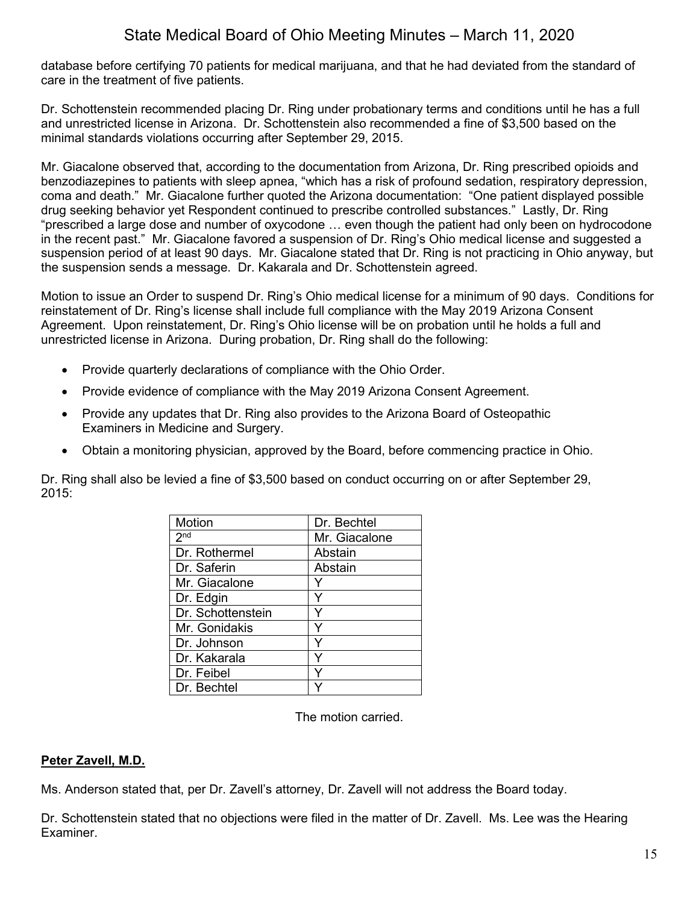database before certifying 70 patients for medical marijuana, and that he had deviated from the standard of care in the treatment of five patients.

Dr. Schottenstein recommended placing Dr. Ring under probationary terms and conditions until he has a full and unrestricted license in Arizona. Dr. Schottenstein also recommended a fine of \$3,500 based on the minimal standards violations occurring after September 29, 2015.

Mr. Giacalone observed that, according to the documentation from Arizona, Dr. Ring prescribed opioids and benzodiazepines to patients with sleep apnea, "which has a risk of profound sedation, respiratory depression, coma and death." Mr. Giacalone further quoted the Arizona documentation: "One patient displayed possible drug seeking behavior yet Respondent continued to prescribe controlled substances." Lastly, Dr. Ring "prescribed a large dose and number of oxycodone … even though the patient had only been on hydrocodone in the recent past." Mr. Giacalone favored a suspension of Dr. Ring's Ohio medical license and suggested a suspension period of at least 90 days. Mr. Giacalone stated that Dr. Ring is not practicing in Ohio anyway, but the suspension sends a message. Dr. Kakarala and Dr. Schottenstein agreed.

Motion to issue an Order to suspend Dr. Ring's Ohio medical license for a minimum of 90 days. Conditions for reinstatement of Dr. Ring's license shall include full compliance with the May 2019 Arizona Consent Agreement. Upon reinstatement, Dr. Ring's Ohio license will be on probation until he holds a full and unrestricted license in Arizona. During probation, Dr. Ring shall do the following:

- Provide quarterly declarations of compliance with the Ohio Order.
- Provide evidence of compliance with the May 2019 Arizona Consent Agreement.
- Provide any updates that Dr. Ring also provides to the Arizona Board of Osteopathic Examiners in Medicine and Surgery.
- Obtain a monitoring physician, approved by the Board, before commencing practice in Ohio.

Dr. Ring shall also be levied a fine of \$3,500 based on conduct occurring on or after September 29, 2015:

| Motion            | Dr. Bechtel   |
|-------------------|---------------|
| 2 <sub>nd</sub>   | Mr. Giacalone |
| Dr. Rothermel     | Abstain       |
| Dr. Saferin       | Abstain       |
| Mr. Giacalone     |               |
| Dr. Edgin         |               |
| Dr. Schottenstein |               |
| Mr. Gonidakis     |               |
| Dr. Johnson       |               |
| Dr. Kakarala      | ٧             |
| Dr. Feibel        |               |
| Dr. Bechtel       |               |

The motion carried.

## **Peter Zavell, M.D.**

Ms. Anderson stated that, per Dr. Zavell's attorney, Dr. Zavell will not address the Board today.

Dr. Schottenstein stated that no objections were filed in the matter of Dr. Zavell. Ms. Lee was the Hearing Examiner.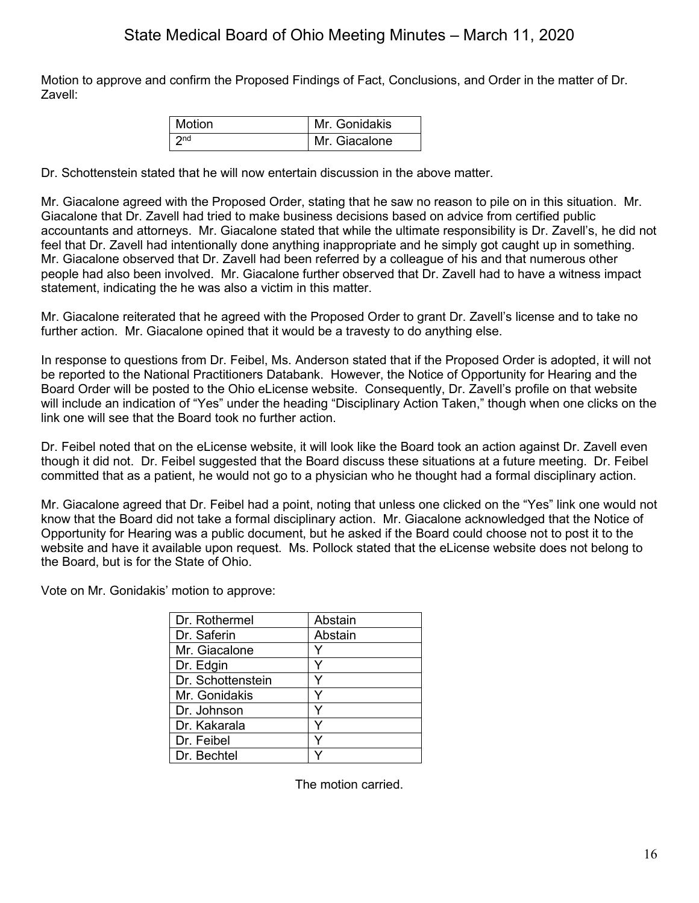Motion to approve and confirm the Proposed Findings of Fact, Conclusions, and Order in the matter of Dr. Zavell:

| Motion          | Mr. Gonidakis |
|-----------------|---------------|
| 2 <sub>nd</sub> | Mr. Giacalone |

Dr. Schottenstein stated that he will now entertain discussion in the above matter.

Mr. Giacalone agreed with the Proposed Order, stating that he saw no reason to pile on in this situation. Mr. Giacalone that Dr. Zavell had tried to make business decisions based on advice from certified public accountants and attorneys. Mr. Giacalone stated that while the ultimate responsibility is Dr. Zavell's, he did not feel that Dr. Zavell had intentionally done anything inappropriate and he simply got caught up in something. Mr. Giacalone observed that Dr. Zavell had been referred by a colleague of his and that numerous other people had also been involved. Mr. Giacalone further observed that Dr. Zavell had to have a witness impact statement, indicating the he was also a victim in this matter.

Mr. Giacalone reiterated that he agreed with the Proposed Order to grant Dr. Zavell's license and to take no further action. Mr. Giacalone opined that it would be a travesty to do anything else.

In response to questions from Dr. Feibel, Ms. Anderson stated that if the Proposed Order is adopted, it will not be reported to the National Practitioners Databank. However, the Notice of Opportunity for Hearing and the Board Order will be posted to the Ohio eLicense website. Consequently, Dr. Zavell's profile on that website will include an indication of "Yes" under the heading "Disciplinary Action Taken," though when one clicks on the link one will see that the Board took no further action.

Dr. Feibel noted that on the eLicense website, it will look like the Board took an action against Dr. Zavell even though it did not. Dr. Feibel suggested that the Board discuss these situations at a future meeting. Dr. Feibel committed that as a patient, he would not go to a physician who he thought had a formal disciplinary action.

Mr. Giacalone agreed that Dr. Feibel had a point, noting that unless one clicked on the "Yes" link one would not know that the Board did not take a formal disciplinary action. Mr. Giacalone acknowledged that the Notice of Opportunity for Hearing was a public document, but he asked if the Board could choose not to post it to the website and have it available upon request. Ms. Pollock stated that the eLicense website does not belong to the Board, but is for the State of Ohio.

Vote on Mr. Gonidakis' motion to approve:

| Abstain |
|---------|
| Abstain |
|         |
|         |
|         |
|         |
|         |
|         |
|         |
|         |
|         |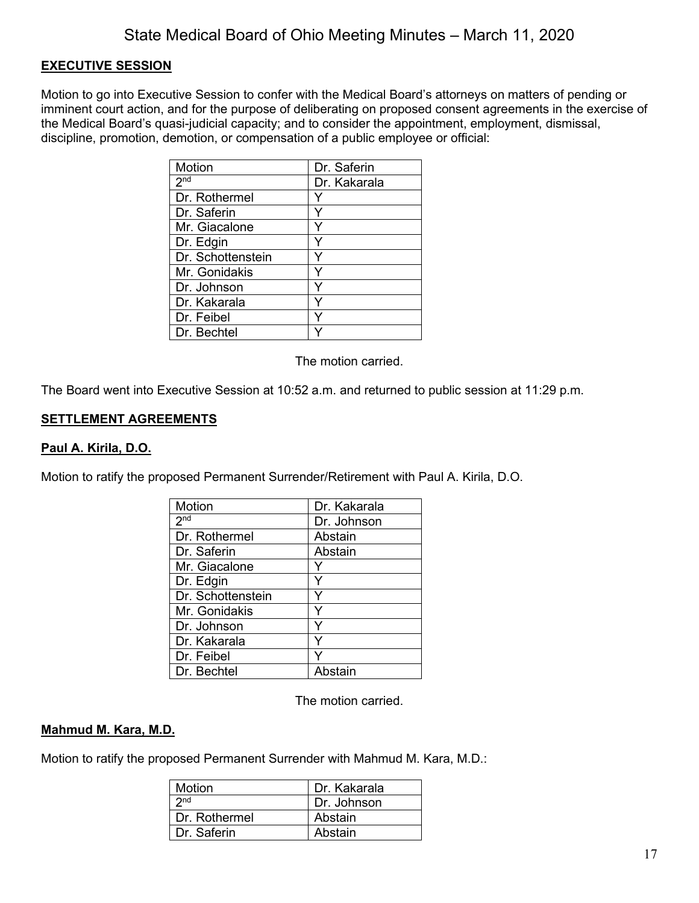### **EXECUTIVE SESSION**

Motion to go into Executive Session to confer with the Medical Board's attorneys on matters of pending or imminent court action, and for the purpose of deliberating on proposed consent agreements in the exercise of the Medical Board's quasi-judicial capacity; and to consider the appointment, employment, dismissal, discipline, promotion, demotion, or compensation of a public employee or official:

| <b>Motion</b>     | Dr. Saferin  |
|-------------------|--------------|
| 2 <sup>nd</sup>   | Dr. Kakarala |
| Dr. Rothermel     |              |
| Dr. Saferin       |              |
| Mr. Giacalone     |              |
| Dr. Edgin         |              |
| Dr. Schottenstein |              |
| Mr. Gonidakis     |              |
| Dr. Johnson       |              |
| Dr. Kakarala      |              |
| Dr. Feibel        |              |
| Dr. Bechtel       |              |

The motion carried.

The Board went into Executive Session at 10:52 a.m. and returned to public session at 11:29 p.m.

### **SETTLEMENT AGREEMENTS**

#### **Paul A. Kirila, D.O.**

Motion to ratify the proposed Permanent Surrender/Retirement with Paul A. Kirila, D.O.

| Motion            | Dr. Kakarala |
|-------------------|--------------|
| 2 <sub>nd</sub>   | Dr. Johnson  |
| Dr. Rothermel     | Abstain      |
| Dr. Saferin       | Abstain      |
| Mr. Giacalone     |              |
| Dr. Edgin         | Y            |
| Dr. Schottenstein |              |
| Mr. Gonidakis     | Y            |
| Dr. Johnson       | Y            |
| Dr. Kakarala      | Y            |
| Dr. Feibel        |              |
| Dr. Bechtel       | Abstain      |

The motion carried.

#### **Mahmud M. Kara, M.D.**

Motion to ratify the proposed Permanent Surrender with Mahmud M. Kara, M.D.:

| <b>Motion</b>   | Dr. Kakarala |
|-----------------|--------------|
| 2 <sub>nd</sub> | Dr. Johnson  |
| Dr. Rothermel   | Abstain      |
| Dr. Saferin     | Abstain      |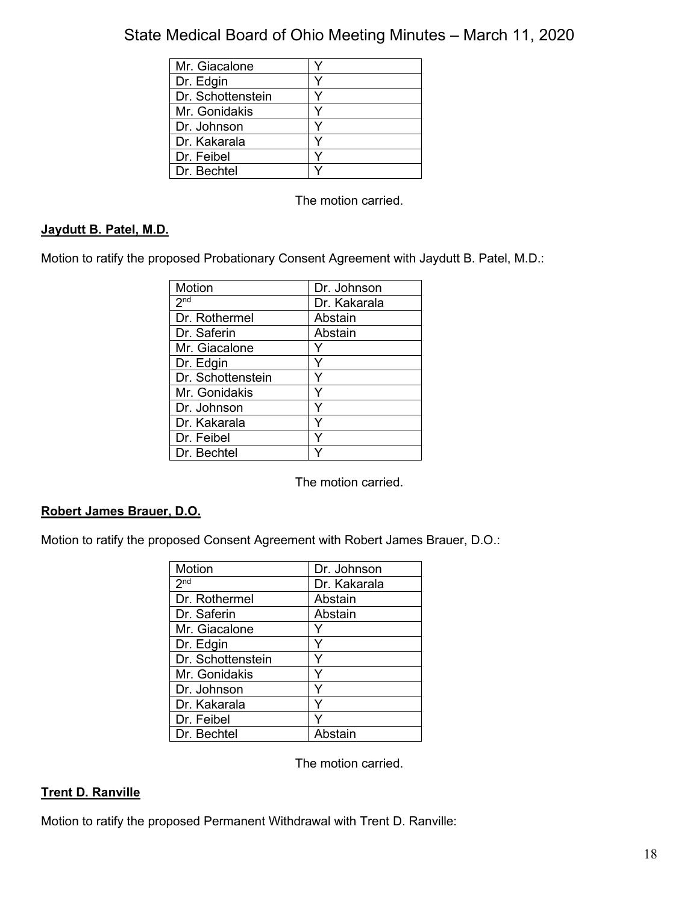| Mr. Giacalone     |  |
|-------------------|--|
| Dr. Edgin         |  |
| Dr. Schottenstein |  |
| Mr. Gonidakis     |  |
| Dr. Johnson       |  |
| Dr. Kakarala      |  |
| Dr. Feibel        |  |
| Dr. Bechtel       |  |

The motion carried.

## **Jaydutt B. Patel, M.D.**

Motion to ratify the proposed Probationary Consent Agreement with Jaydutt B. Patel, M.D.:

| <b>Motion</b>     | Dr. Johnson  |
|-------------------|--------------|
| 2 <sup>nd</sup>   | Dr. Kakarala |
| Dr. Rothermel     | Abstain      |
| Dr. Saferin       | Abstain      |
| Mr. Giacalone     |              |
| Dr. Edgin         |              |
| Dr. Schottenstein |              |
| Mr. Gonidakis     | Y            |
| Dr. Johnson       | Y            |
| Dr. Kakarala      | ⋎            |
| Dr. Feibel        |              |
| Dr. Bechtel       |              |

The motion carried.

### **Robert James Brauer, D.O.**

Motion to ratify the proposed Consent Agreement with Robert James Brauer, D.O.:

| Motion            | Dr. Johnson  |
|-------------------|--------------|
| 2 <sup>nd</sup>   | Dr. Kakarala |
| Dr. Rothermel     | Abstain      |
| Dr. Saferin       | Abstain      |
| Mr. Giacalone     |              |
| Dr. Edgin         |              |
| Dr. Schottenstein |              |
| Mr. Gonidakis     | Y            |
| Dr. Johnson       | ٧            |
| Dr. Kakarala      | Y            |
| Dr. Feibel        |              |
| Dr. Bechtel       | Abstain      |

The motion carried.

### **Trent D. Ranville**

Motion to ratify the proposed Permanent Withdrawal with Trent D. Ranville: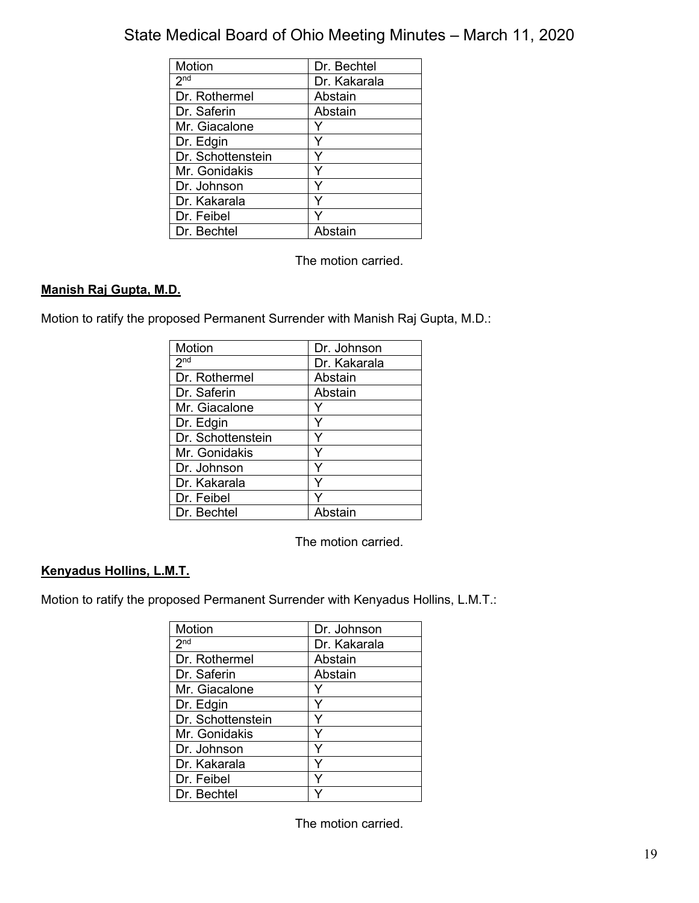| Motion            | Dr. Bechtel  |
|-------------------|--------------|
| 2 <sub>nd</sub>   | Dr. Kakarala |
| Dr. Rothermel     | Abstain      |
| Dr. Saferin       | Abstain      |
| Mr. Giacalone     |              |
| Dr. Edgin         |              |
| Dr. Schottenstein |              |
| Mr. Gonidakis     |              |
| Dr. Johnson       |              |
| Dr. Kakarala      |              |
| Dr. Feibel        |              |
| Dr. Bechtel       | Ahstain      |

The motion carried.

# **Manish Raj Gupta, M.D.**

Motion to ratify the proposed Permanent Surrender with Manish Raj Gupta, M.D.:

| Motion            | Dr. Johnson  |
|-------------------|--------------|
| 2 <sub>nd</sub>   | Dr. Kakarala |
| Dr. Rothermel     | Abstain      |
| Dr. Saferin       | Abstain      |
| Mr. Giacalone     |              |
| Dr. Edgin         | Y            |
| Dr. Schottenstein |              |
| Mr. Gonidakis     | Y            |
| Dr. Johnson       | Y            |
| Dr. Kakarala      | Y            |
| Dr. Feibel        | ٧            |
| Dr. Bechtel       | Abstain      |

The motion carried.

### **Kenyadus Hollins, L.M.T.**

Motion to ratify the proposed Permanent Surrender with Kenyadus Hollins, L.M.T.:

| <b>Motion</b>     | Dr. Johnson  |
|-------------------|--------------|
| 2 <sub>nd</sub>   | Dr. Kakarala |
| Dr. Rothermel     | Abstain      |
| Dr. Saferin       | Abstain      |
| Mr. Giacalone     |              |
| Dr. Edgin         | Y            |
| Dr. Schottenstein |              |
| Mr. Gonidakis     | v            |
| Dr. Johnson       | Υ            |
| Dr. Kakarala      | ٧            |
| Dr. Feibel        | v            |
| Dr. Bechtel       |              |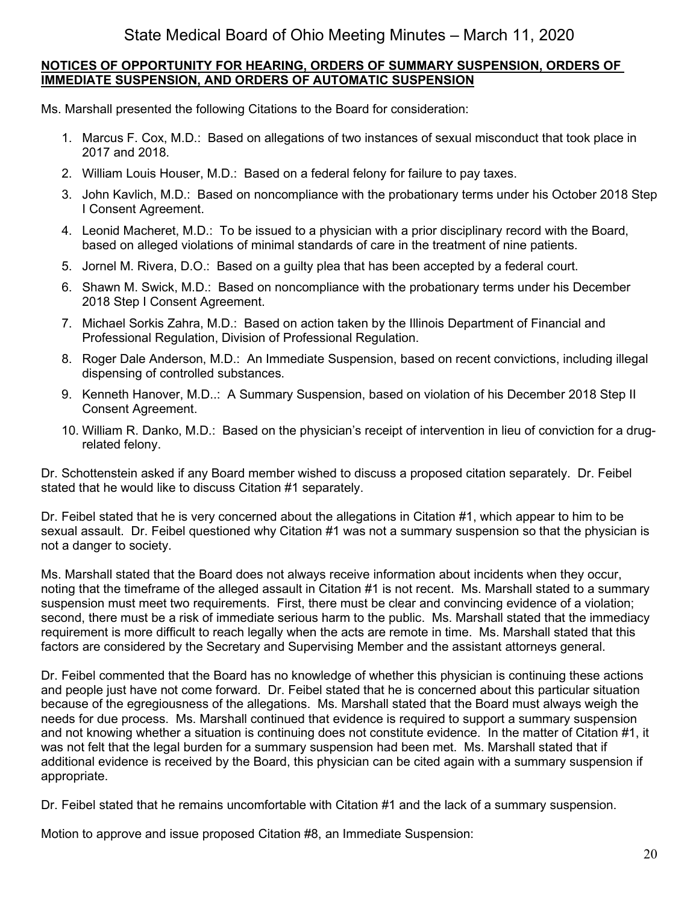### **NOTICES OF OPPORTUNITY FOR HEARING, ORDERS OF SUMMARY SUSPENSION, ORDERS OF IMMEDIATE SUSPENSION, AND ORDERS OF AUTOMATIC SUSPENSION**

Ms. Marshall presented the following Citations to the Board for consideration:

- 1. Marcus F. Cox, M.D.: Based on allegations of two instances of sexual misconduct that took place in 2017 and 2018.
- 2. William Louis Houser, M.D.: Based on a federal felony for failure to pay taxes.
- 3. John Kavlich, M.D.: Based on noncompliance with the probationary terms under his October 2018 Step I Consent Agreement.
- 4. Leonid Macheret, M.D.: To be issued to a physician with a prior disciplinary record with the Board, based on alleged violations of minimal standards of care in the treatment of nine patients.
- 5. Jornel M. Rivera, D.O.: Based on a guilty plea that has been accepted by a federal court.
- 6. Shawn M. Swick, M.D.: Based on noncompliance with the probationary terms under his December 2018 Step I Consent Agreement.
- 7. Michael Sorkis Zahra, M.D.: Based on action taken by the Illinois Department of Financial and Professional Regulation, Division of Professional Regulation.
- 8. Roger Dale Anderson, M.D.: An Immediate Suspension, based on recent convictions, including illegal dispensing of controlled substances.
- 9. Kenneth Hanover, M.D..: A Summary Suspension, based on violation of his December 2018 Step II Consent Agreement.
- 10. William R. Danko, M.D.: Based on the physician's receipt of intervention in lieu of conviction for a drugrelated felony.

Dr. Schottenstein asked if any Board member wished to discuss a proposed citation separately. Dr. Feibel stated that he would like to discuss Citation #1 separately.

Dr. Feibel stated that he is very concerned about the allegations in Citation #1, which appear to him to be sexual assault. Dr. Feibel questioned why Citation #1 was not a summary suspension so that the physician is not a danger to society.

Ms. Marshall stated that the Board does not always receive information about incidents when they occur, noting that the timeframe of the alleged assault in Citation #1 is not recent. Ms. Marshall stated to a summary suspension must meet two requirements. First, there must be clear and convincing evidence of a violation; second, there must be a risk of immediate serious harm to the public. Ms. Marshall stated that the immediacy requirement is more difficult to reach legally when the acts are remote in time. Ms. Marshall stated that this factors are considered by the Secretary and Supervising Member and the assistant attorneys general.

Dr. Feibel commented that the Board has no knowledge of whether this physician is continuing these actions and people just have not come forward. Dr. Feibel stated that he is concerned about this particular situation because of the egregiousness of the allegations. Ms. Marshall stated that the Board must always weigh the needs for due process. Ms. Marshall continued that evidence is required to support a summary suspension and not knowing whether a situation is continuing does not constitute evidence. In the matter of Citation #1, it was not felt that the legal burden for a summary suspension had been met. Ms. Marshall stated that if additional evidence is received by the Board, this physician can be cited again with a summary suspension if appropriate.

Dr. Feibel stated that he remains uncomfortable with Citation #1 and the lack of a summary suspension.

Motion to approve and issue proposed Citation #8, an Immediate Suspension: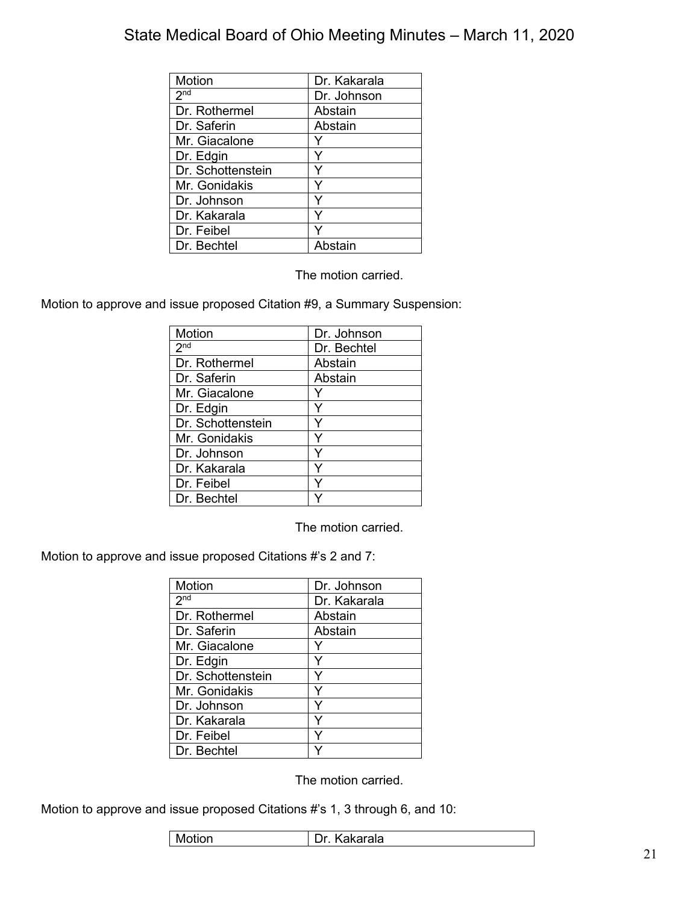| Motion            | Dr. Kakarala |
|-------------------|--------------|
| 2 <sup>nd</sup>   | Dr. Johnson  |
| Dr. Rothermel     | Abstain      |
| Dr. Saferin       | Abstain      |
| Mr. Giacalone     |              |
| Dr. Edgin         | Y            |
| Dr. Schottenstein | Y            |
| Mr. Gonidakis     | ٧            |
| Dr. Johnson       | ٧            |
| Dr. Kakarala      |              |
| Dr. Feibel        |              |
| Dr. Bechtel       | Abstain      |

The motion carried.

Motion to approve and issue proposed Citation #9, a Summary Suspension:

| Motion            | Dr. Johnson |
|-------------------|-------------|
|                   |             |
| 2 <sub>nd</sub>   | Dr. Bechtel |
| Dr. Rothermel     | Abstain     |
| Dr. Saferin       | Abstain     |
| Mr. Giacalone     |             |
| Dr. Edgin         | Y           |
| Dr. Schottenstein | Y           |
| Mr. Gonidakis     | Y           |
| Dr. Johnson       | Y           |
| Dr. Kakarala      | Y           |
| Dr. Feibel        | Y           |
| Dr. Bechtel       |             |

The motion carried.

Motion to approve and issue proposed Citations #'s 2 and 7:

| Motion            | Dr. Johnson  |
|-------------------|--------------|
| 2 <sub>nd</sub>   | Dr. Kakarala |
| Dr. Rothermel     | Abstain      |
| Dr. Saferin       | Abstain      |
| Mr. Giacalone     |              |
| Dr. Edgin         |              |
| Dr. Schottenstein |              |
| Mr. Gonidakis     | Y            |
| Dr. Johnson       | Y            |
| Dr. Kakarala      | Y            |
| Dr. Feibel        | v            |
| Dr. Bechtel       |              |

The motion carried.

Motion to approve and issue proposed Citations #'s 1, 3 through 6, and 10:

| otion | วkarala |
|-------|---------|
| -Mc   | .       |
|       |         |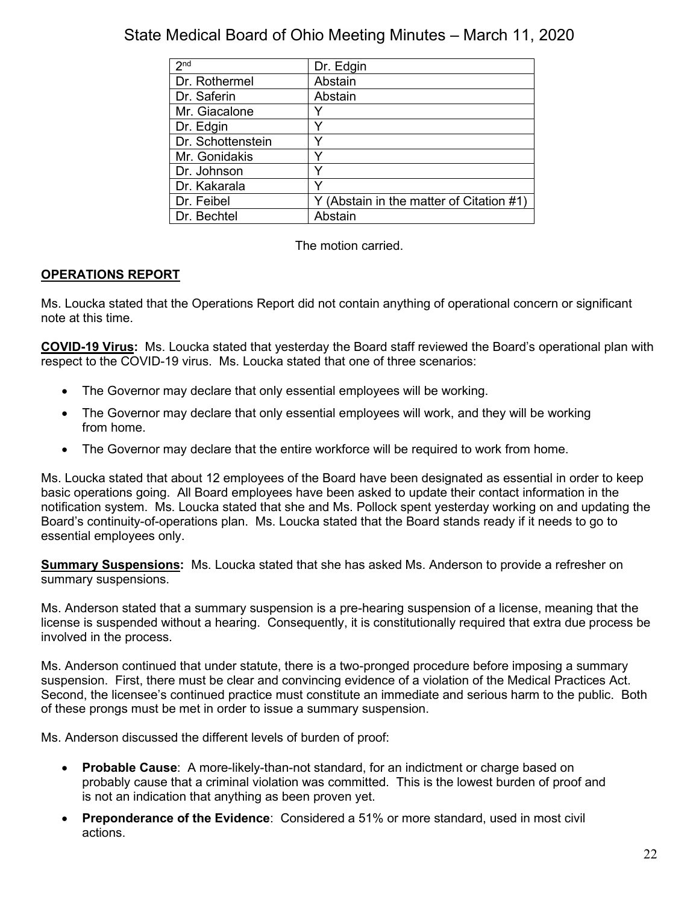| 2 <sub>nd</sub>   | Dr. Edgin                                |
|-------------------|------------------------------------------|
| Dr. Rothermel     | Abstain                                  |
| Dr. Saferin       | Abstain                                  |
| Mr. Giacalone     |                                          |
| Dr. Edgin         |                                          |
| Dr. Schottenstein |                                          |
| Mr. Gonidakis     |                                          |
| Dr. Johnson       |                                          |
| Dr. Kakarala      |                                          |
| Dr. Feibel        | Y (Abstain in the matter of Citation #1) |
| Dr. Bechtel       | Abstain                                  |

The motion carried.

# **OPERATIONS REPORT**

Ms. Loucka stated that the Operations Report did not contain anything of operational concern or significant note at this time.

**COVID-19 Virus:** Ms. Loucka stated that yesterday the Board staff reviewed the Board's operational plan with respect to the COVID-19 virus. Ms. Loucka stated that one of three scenarios:

- The Governor may declare that only essential employees will be working.
- The Governor may declare that only essential employees will work, and they will be working from home.
- The Governor may declare that the entire workforce will be required to work from home.

Ms. Loucka stated that about 12 employees of the Board have been designated as essential in order to keep basic operations going. All Board employees have been asked to update their contact information in the notification system. Ms. Loucka stated that she and Ms. Pollock spent yesterday working on and updating the Board's continuity-of-operations plan. Ms. Loucka stated that the Board stands ready if it needs to go to essential employees only.

**Summary Suspensions:** Ms. Loucka stated that she has asked Ms. Anderson to provide a refresher on summary suspensions.

Ms. Anderson stated that a summary suspension is a pre-hearing suspension of a license, meaning that the license is suspended without a hearing. Consequently, it is constitutionally required that extra due process be involved in the process.

Ms. Anderson continued that under statute, there is a two-pronged procedure before imposing a summary suspension. First, there must be clear and convincing evidence of a violation of the Medical Practices Act. Second, the licensee's continued practice must constitute an immediate and serious harm to the public. Both of these prongs must be met in order to issue a summary suspension.

Ms. Anderson discussed the different levels of burden of proof:

- **Probable Cause**: A more-likely-than-not standard, for an indictment or charge based on probably cause that a criminal violation was committed. This is the lowest burden of proof and is not an indication that anything as been proven yet.
- **Preponderance of the Evidence**: Considered a 51% or more standard, used in most civil actions.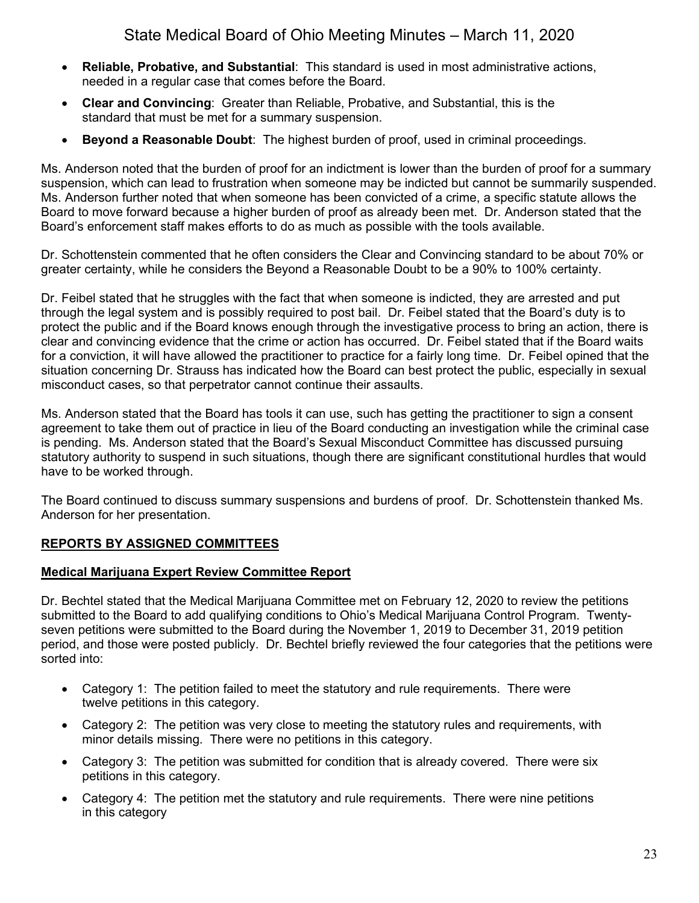- **Reliable, Probative, and Substantial**: This standard is used in most administrative actions, needed in a regular case that comes before the Board.
- **Clear and Convincing**: Greater than Reliable, Probative, and Substantial, this is the standard that must be met for a summary suspension.
- **Beyond a Reasonable Doubt**: The highest burden of proof, used in criminal proceedings.

Ms. Anderson noted that the burden of proof for an indictment is lower than the burden of proof for a summary suspension, which can lead to frustration when someone may be indicted but cannot be summarily suspended. Ms. Anderson further noted that when someone has been convicted of a crime, a specific statute allows the Board to move forward because a higher burden of proof as already been met. Dr. Anderson stated that the Board's enforcement staff makes efforts to do as much as possible with the tools available.

Dr. Schottenstein commented that he often considers the Clear and Convincing standard to be about 70% or greater certainty, while he considers the Beyond a Reasonable Doubt to be a 90% to 100% certainty.

Dr. Feibel stated that he struggles with the fact that when someone is indicted, they are arrested and put through the legal system and is possibly required to post bail. Dr. Feibel stated that the Board's duty is to protect the public and if the Board knows enough through the investigative process to bring an action, there is clear and convincing evidence that the crime or action has occurred. Dr. Feibel stated that if the Board waits for a conviction, it will have allowed the practitioner to practice for a fairly long time. Dr. Feibel opined that the situation concerning Dr. Strauss has indicated how the Board can best protect the public, especially in sexual misconduct cases, so that perpetrator cannot continue their assaults.

Ms. Anderson stated that the Board has tools it can use, such has getting the practitioner to sign a consent agreement to take them out of practice in lieu of the Board conducting an investigation while the criminal case is pending. Ms. Anderson stated that the Board's Sexual Misconduct Committee has discussed pursuing statutory authority to suspend in such situations, though there are significant constitutional hurdles that would have to be worked through.

The Board continued to discuss summary suspensions and burdens of proof. Dr. Schottenstein thanked Ms. Anderson for her presentation.

## **REPORTS BY ASSIGNED COMMITTEES**

## **Medical Marijuana Expert Review Committee Report**

Dr. Bechtel stated that the Medical Marijuana Committee met on February 12, 2020 to review the petitions submitted to the Board to add qualifying conditions to Ohio's Medical Marijuana Control Program. Twentyseven petitions were submitted to the Board during the November 1, 2019 to December 31, 2019 petition period, and those were posted publicly. Dr. Bechtel briefly reviewed the four categories that the petitions were sorted into:

- Category 1: The petition failed to meet the statutory and rule requirements. There were twelve petitions in this category.
- Category 2: The petition was very close to meeting the statutory rules and requirements, with minor details missing. There were no petitions in this category.
- Category 3: The petition was submitted for condition that is already covered. There were six petitions in this category.
- Category 4: The petition met the statutory and rule requirements. There were nine petitions in this category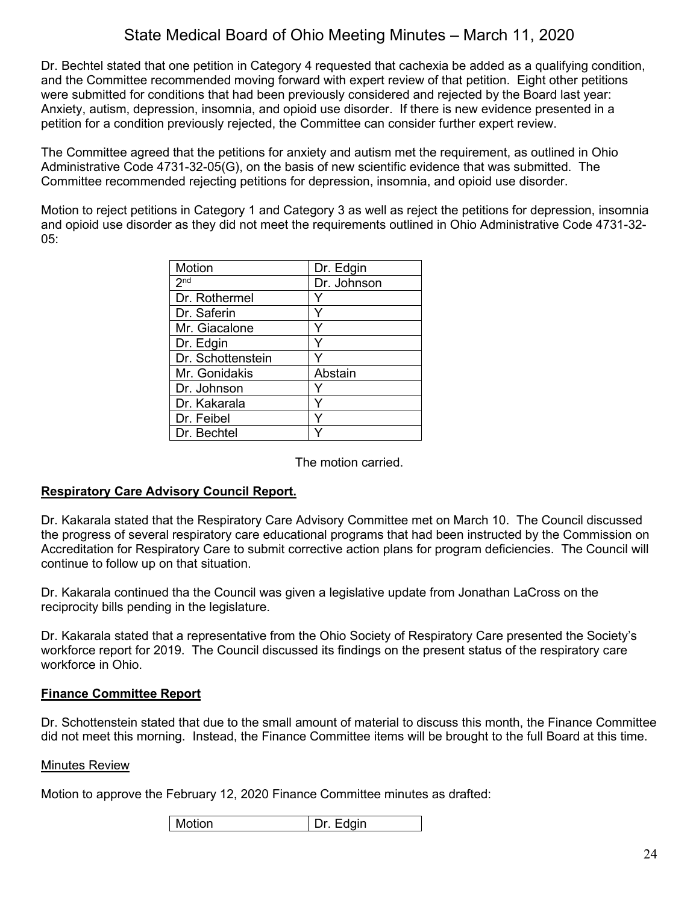Dr. Bechtel stated that one petition in Category 4 requested that cachexia be added as a qualifying condition, and the Committee recommended moving forward with expert review of that petition. Eight other petitions were submitted for conditions that had been previously considered and rejected by the Board last year: Anxiety, autism, depression, insomnia, and opioid use disorder. If there is new evidence presented in a petition for a condition previously rejected, the Committee can consider further expert review.

The Committee agreed that the petitions for anxiety and autism met the requirement, as outlined in Ohio Administrative Code 4731-32-05(G), on the basis of new scientific evidence that was submitted. The Committee recommended rejecting petitions for depression, insomnia, and opioid use disorder.

Motion to reject petitions in Category 1 and Category 3 as well as reject the petitions for depression, insomnia and opioid use disorder as they did not meet the requirements outlined in Ohio Administrative Code 4731-32- 05:

| Motion            | Dr. Edgin   |
|-------------------|-------------|
| 2 <sup>nd</sup>   | Dr. Johnson |
| Dr. Rothermel     |             |
| Dr. Saferin       |             |
| Mr. Giacalone     |             |
| Dr. Edgin         |             |
| Dr. Schottenstein |             |
| Mr. Gonidakis     | Abstain     |
| Dr. Johnson       |             |
| Dr. Kakarala      | ٧           |
| Dr. Feibel        |             |
| Dr. Bechtel       |             |

The motion carried.

#### **Respiratory Care Advisory Council Report.**

Dr. Kakarala stated that the Respiratory Care Advisory Committee met on March 10. The Council discussed the progress of several respiratory care educational programs that had been instructed by the Commission on Accreditation for Respiratory Care to submit corrective action plans for program deficiencies. The Council will continue to follow up on that situation.

Dr. Kakarala continued tha the Council was given a legislative update from Jonathan LaCross on the reciprocity bills pending in the legislature.

Dr. Kakarala stated that a representative from the Ohio Society of Respiratory Care presented the Society's workforce report for 2019. The Council discussed its findings on the present status of the respiratory care workforce in Ohio.

#### **Finance Committee Report**

Dr. Schottenstein stated that due to the small amount of material to discuss this month, the Finance Committee did not meet this morning. Instead, the Finance Committee items will be brought to the full Board at this time.

#### **Minutes Review**

Motion to approve the February 12, 2020 Finance Committee minutes as drafted:

| ∣ Motion | Dr. Edgin |
|----------|-----------|
|----------|-----------|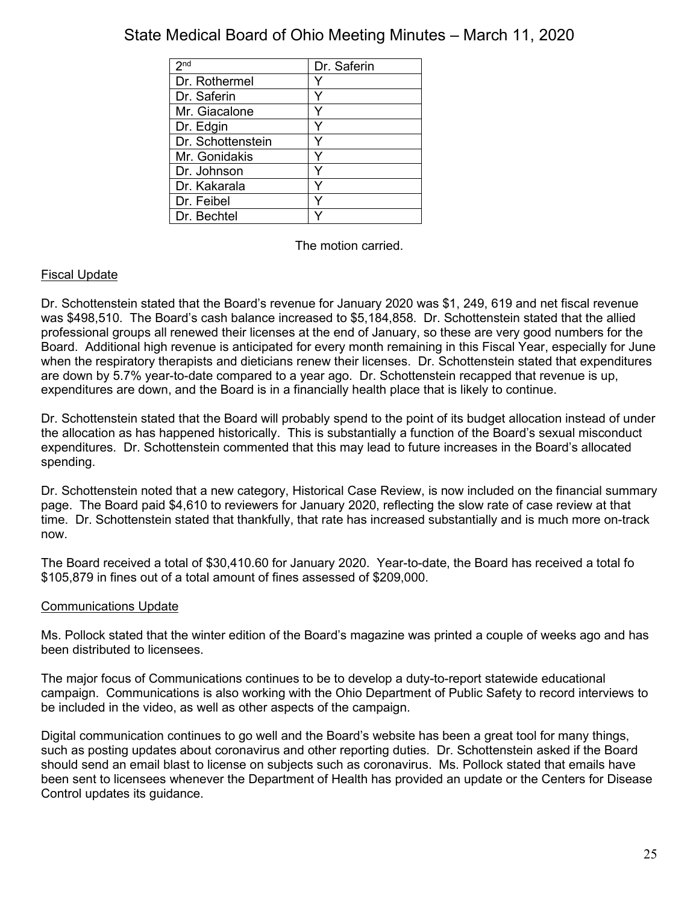| 2 <sub>nd</sub>   | Dr. Saferin |
|-------------------|-------------|
| Dr. Rothermel     |             |
| Dr. Saferin       | v           |
| Mr. Giacalone     |             |
| Dr. Edgin         |             |
| Dr. Schottenstein |             |
| Mr. Gonidakis     |             |
| Dr. Johnson       |             |
| Dr. Kakarala      |             |
| Dr. Feibel        |             |
| Dr. Bechtel       |             |

The motion carried.

## Fiscal Update

Dr. Schottenstein stated that the Board's revenue for January 2020 was \$1, 249, 619 and net fiscal revenue was \$498,510. The Board's cash balance increased to \$5,184,858. Dr. Schottenstein stated that the allied professional groups all renewed their licenses at the end of January, so these are very good numbers for the Board. Additional high revenue is anticipated for every month remaining in this Fiscal Year, especially for June when the respiratory therapists and dieticians renew their licenses. Dr. Schottenstein stated that expenditures are down by 5.7% year-to-date compared to a year ago. Dr. Schottenstein recapped that revenue is up, expenditures are down, and the Board is in a financially health place that is likely to continue.

Dr. Schottenstein stated that the Board will probably spend to the point of its budget allocation instead of under the allocation as has happened historically. This is substantially a function of the Board's sexual misconduct expenditures. Dr. Schottenstein commented that this may lead to future increases in the Board's allocated spending.

Dr. Schottenstein noted that a new category, Historical Case Review, is now included on the financial summary page. The Board paid \$4,610 to reviewers for January 2020, reflecting the slow rate of case review at that time. Dr. Schottenstein stated that thankfully, that rate has increased substantially and is much more on-track now.

The Board received a total of \$30,410.60 for January 2020. Year-to-date, the Board has received a total fo \$105,879 in fines out of a total amount of fines assessed of \$209,000.

## Communications Update

Ms. Pollock stated that the winter edition of the Board's magazine was printed a couple of weeks ago and has been distributed to licensees.

The major focus of Communications continues to be to develop a duty-to-report statewide educational campaign. Communications is also working with the Ohio Department of Public Safety to record interviews to be included in the video, as well as other aspects of the campaign.

Digital communication continues to go well and the Board's website has been a great tool for many things, such as posting updates about coronavirus and other reporting duties. Dr. Schottenstein asked if the Board should send an email blast to license on subjects such as coronavirus. Ms. Pollock stated that emails have been sent to licensees whenever the Department of Health has provided an update or the Centers for Disease Control updates its guidance.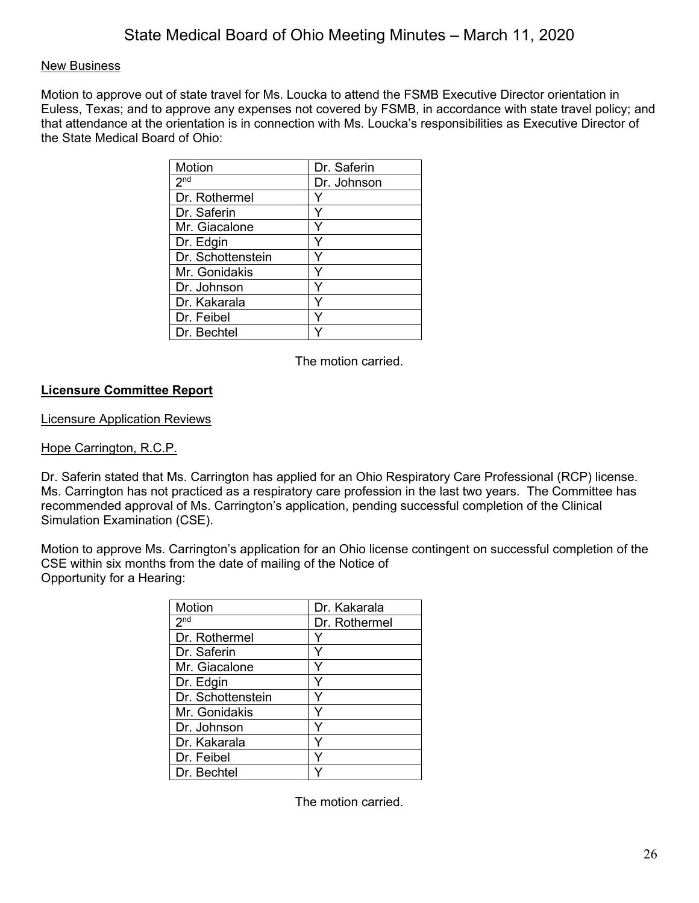### New Business

Motion to approve out of state travel for Ms. Loucka to attend the FSMB Executive Director orientation in Euless, Texas; and to approve any expenses not covered by FSMB, in accordance with state travel policy; and that attendance at the orientation is in connection with Ms. Loucka's responsibilities as Executive Director of the State Medical Board of Ohio:

| <b>Motion</b>     | Dr. Saferin |
|-------------------|-------------|
| 2 <sup>nd</sup>   | Dr. Johnson |
| Dr. Rothermel     |             |
| Dr. Saferin       |             |
| Mr. Giacalone     |             |
| Dr. Edgin         |             |
| Dr. Schottenstein |             |
| Mr. Gonidakis     |             |
| Dr. Johnson       |             |
| Dr. Kakarala      |             |
| Dr. Feibel        |             |
| Dr. Bechtel       |             |

The motion carried.

## **Licensure Committee Report**

Licensure Application Reviews

Hope Carrington, R.C.P.

Dr. Saferin stated that Ms. Carrington has applied for an Ohio Respiratory Care Professional (RCP) license. Ms. Carrington has not practiced as a respiratory care profession in the last two years. The Committee has recommended approval of Ms. Carrington's application, pending successful completion of the Clinical Simulation Examination (CSE).

Motion to approve Ms. Carrington's application for an Ohio license contingent on successful completion of the CSE within six months from the date of mailing of the Notice of Opportunity for a Hearing:

| Motion            | Dr. Kakarala  |
|-------------------|---------------|
| 2 <sub>nd</sub>   | Dr. Rothermel |
| Dr. Rothermel     |               |
| Dr. Saferin       | Y             |
| Mr. Giacalone     |               |
| Dr. Edgin         |               |
| Dr. Schottenstein | Y             |
| Mr. Gonidakis     | Y             |
| Dr. Johnson       | Y             |
| Dr. Kakarala      | ٧             |
| Dr. Feibel        | Y             |
| Dr. Bechtel       |               |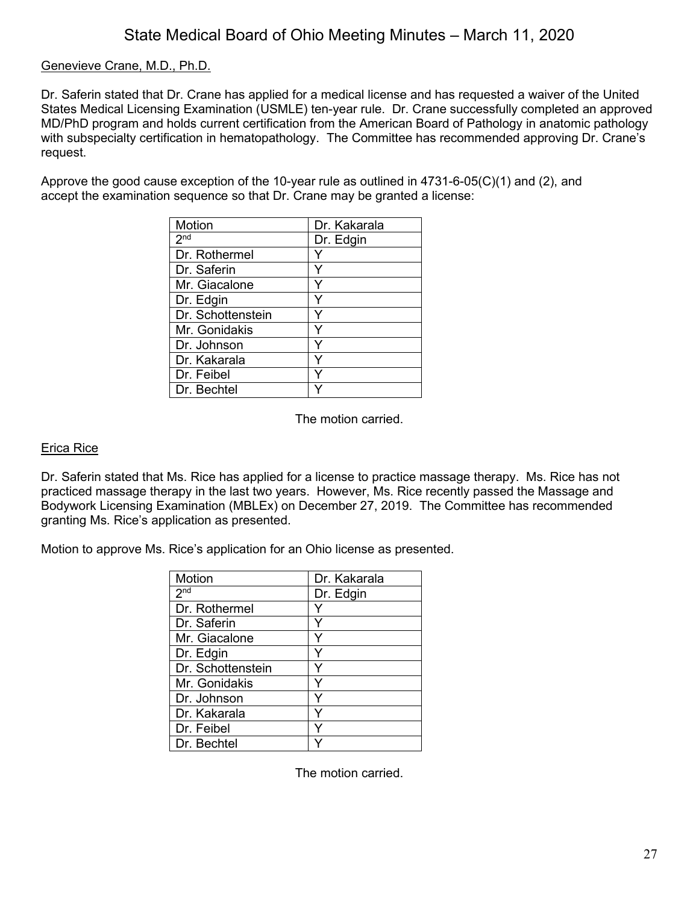### Genevieve Crane, M.D., Ph.D.

Dr. Saferin stated that Dr. Crane has applied for a medical license and has requested a waiver of the United States Medical Licensing Examination (USMLE) ten-year rule. Dr. Crane successfully completed an approved MD/PhD program and holds current certification from the American Board of Pathology in anatomic pathology with subspecialty certification in hematopathology. The Committee has recommended approving Dr. Crane's request.

Approve the good cause exception of the 10-year rule as outlined in 4731-6-05(C)(1) and (2), and accept the examination sequence so that Dr. Crane may be granted a license:

| <b>Motion</b>     | Dr. Kakarala |
|-------------------|--------------|
| 2 <sup>nd</sup>   | Dr. Edgin    |
| Dr. Rothermel     |              |
| Dr. Saferin       |              |
| Mr. Giacalone     |              |
| Dr. Edgin         | Y            |
| Dr. Schottenstein |              |
| Mr. Gonidakis     | Y            |
| Dr. Johnson       | Y            |
| Dr. Kakarala      | Y            |
| Dr. Feibel        |              |
| Dr. Bechtel       |              |

The motion carried.

#### Erica Rice

Dr. Saferin stated that Ms. Rice has applied for a license to practice massage therapy. Ms. Rice has not practiced massage therapy in the last two years. However, Ms. Rice recently passed the Massage and Bodywork Licensing Examination (MBLEx) on December 27, 2019. The Committee has recommended granting Ms. Rice's application as presented.

Motion to approve Ms. Rice's application for an Ohio license as presented.

| <b>Motion</b>     | Dr. Kakarala |
|-------------------|--------------|
| 2 <sup>nd</sup>   | Dr. Edgin    |
| Dr. Rothermel     |              |
| Dr. Saferin       | v            |
| Mr. Giacalone     |              |
| Dr. Edgin         |              |
| Dr. Schottenstein |              |
| Mr. Gonidakis     |              |
| Dr. Johnson       |              |
| Dr. Kakarala      | ٧            |
| Dr. Feibel        |              |
| Dr. Bechtel       |              |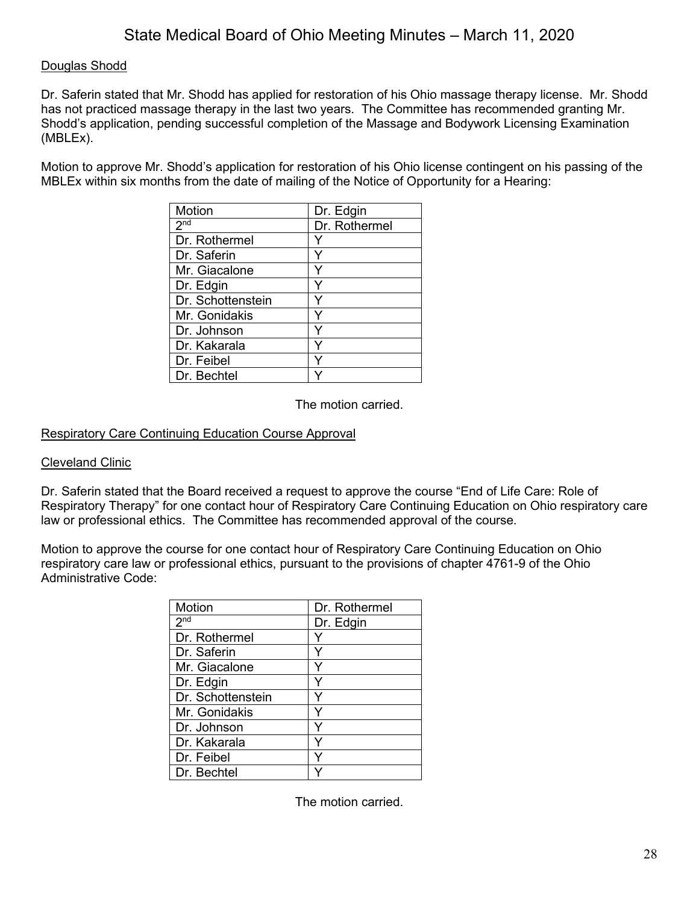### Douglas Shodd

Dr. Saferin stated that Mr. Shodd has applied for restoration of his Ohio massage therapy license. Mr. Shodd has not practiced massage therapy in the last two years. The Committee has recommended granting Mr. Shodd's application, pending successful completion of the Massage and Bodywork Licensing Examination (MBLEx).

Motion to approve Mr. Shodd's application for restoration of his Ohio license contingent on his passing of the MBLEx within six months from the date of mailing of the Notice of Opportunity for a Hearing:

| Motion              | Dr. Edgin     |
|---------------------|---------------|
| $2^{\overline{nd}}$ | Dr. Rothermel |
| Dr. Rothermel       |               |
| Dr. Saferin         |               |
| Mr. Giacalone       |               |
| Dr. Edgin           | Y             |
| Dr. Schottenstein   |               |
| Mr. Gonidakis       | ٧             |
| Dr. Johnson         | Υ             |
| Dr. Kakarala        | Y             |
| Dr. Feibel          |               |
| Dr. Bechtel         |               |

The motion carried.

### Respiratory Care Continuing Education Course Approval

#### Cleveland Clinic

Dr. Saferin stated that the Board received a request to approve the course "End of Life Care: Role of Respiratory Therapy" for one contact hour of Respiratory Care Continuing Education on Ohio respiratory care law or professional ethics. The Committee has recommended approval of the course.

Motion to approve the course for one contact hour of Respiratory Care Continuing Education on Ohio respiratory care law or professional ethics, pursuant to the provisions of chapter 4761-9 of the Ohio Administrative Code:

| <b>Motion</b>     | Dr. Rothermel |
|-------------------|---------------|
| 2 <sub>nd</sub>   | Dr. Edgin     |
| Dr. Rothermel     |               |
| Dr. Saferin       |               |
| Mr. Giacalone     |               |
| Dr. Edgin         | Y             |
| Dr. Schottenstein |               |
| Mr. Gonidakis     | ٧             |
| Dr. Johnson       | ٧             |
| Dr. Kakarala      | ٧             |
| Dr. Feibel        | ٧             |
| Dr. Bechtel       |               |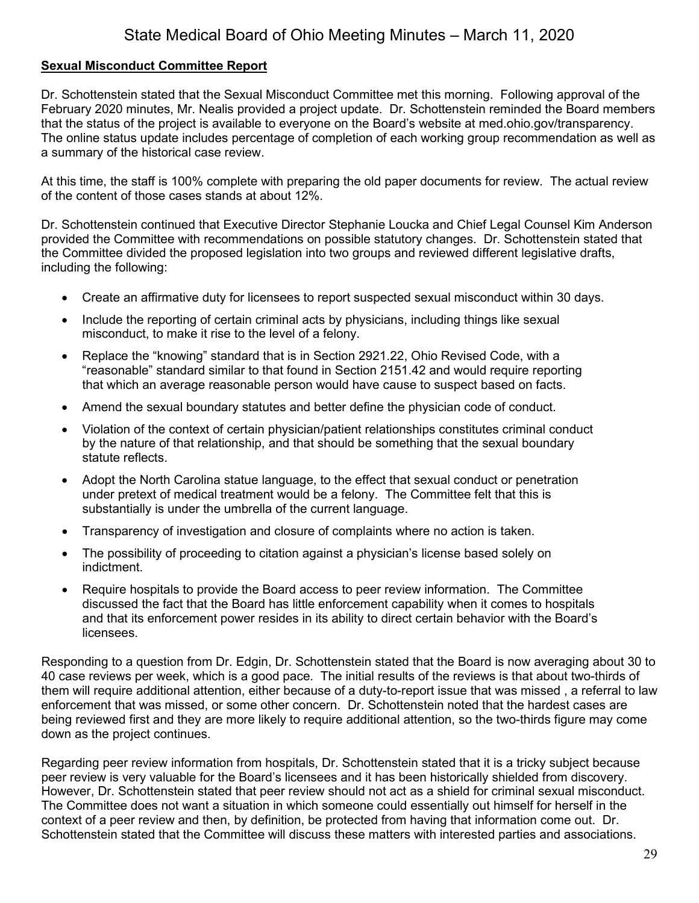### **Sexual Misconduct Committee Report**

Dr. Schottenstein stated that the Sexual Misconduct Committee met this morning. Following approval of the February 2020 minutes, Mr. Nealis provided a project update. Dr. Schottenstein reminded the Board members that the status of the project is available to everyone on the Board's website at med.ohio.gov/transparency. The online status update includes percentage of completion of each working group recommendation as well as a summary of the historical case review.

At this time, the staff is 100% complete with preparing the old paper documents for review. The actual review of the content of those cases stands at about 12%.

Dr. Schottenstein continued that Executive Director Stephanie Loucka and Chief Legal Counsel Kim Anderson provided the Committee with recommendations on possible statutory changes. Dr. Schottenstein stated that the Committee divided the proposed legislation into two groups and reviewed different legislative drafts, including the following:

- Create an affirmative duty for licensees to report suspected sexual misconduct within 30 days.
- Include the reporting of certain criminal acts by physicians, including things like sexual misconduct, to make it rise to the level of a felony.
- Replace the "knowing" standard that is in Section 2921.22, Ohio Revised Code, with a "reasonable" standard similar to that found in Section 2151.42 and would require reporting that which an average reasonable person would have cause to suspect based on facts.
- Amend the sexual boundary statutes and better define the physician code of conduct.
- Violation of the context of certain physician/patient relationships constitutes criminal conduct by the nature of that relationship, and that should be something that the sexual boundary statute reflects.
- Adopt the North Carolina statue language, to the effect that sexual conduct or penetration under pretext of medical treatment would be a felony. The Committee felt that this is substantially is under the umbrella of the current language.
- Transparency of investigation and closure of complaints where no action is taken.
- The possibility of proceeding to citation against a physician's license based solely on indictment.
- Require hospitals to provide the Board access to peer review information. The Committee discussed the fact that the Board has little enforcement capability when it comes to hospitals and that its enforcement power resides in its ability to direct certain behavior with the Board's licensees.

Responding to a question from Dr. Edgin, Dr. Schottenstein stated that the Board is now averaging about 30 to 40 case reviews per week, which is a good pace. The initial results of the reviews is that about two-thirds of them will require additional attention, either because of a duty-to-report issue that was missed , a referral to law enforcement that was missed, or some other concern. Dr. Schottenstein noted that the hardest cases are being reviewed first and they are more likely to require additional attention, so the two-thirds figure may come down as the project continues.

Regarding peer review information from hospitals, Dr. Schottenstein stated that it is a tricky subject because peer review is very valuable for the Board's licensees and it has been historically shielded from discovery. However, Dr. Schottenstein stated that peer review should not act as a shield for criminal sexual misconduct. The Committee does not want a situation in which someone could essentially out himself for herself in the context of a peer review and then, by definition, be protected from having that information come out. Dr. Schottenstein stated that the Committee will discuss these matters with interested parties and associations.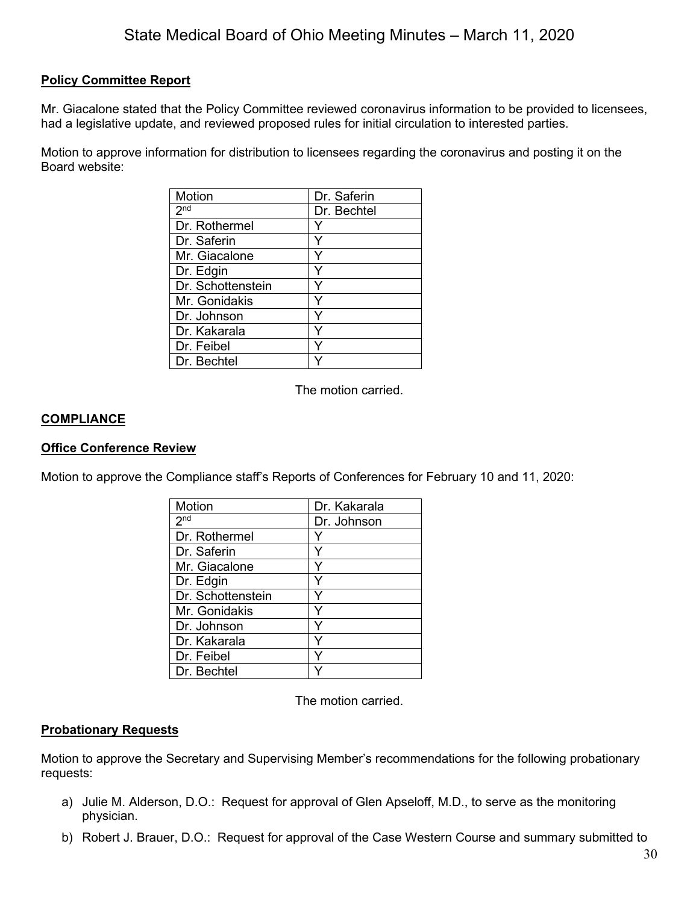### **Policy Committee Report**

Mr. Giacalone stated that the Policy Committee reviewed coronavirus information to be provided to licensees, had a legislative update, and reviewed proposed rules for initial circulation to interested parties.

Motion to approve information for distribution to licensees regarding the coronavirus and posting it on the Board website:

| Motion            | Dr. Saferin |
|-------------------|-------------|
| 2 <sub>nd</sub>   | Dr. Bechtel |
| Dr. Rothermel     |             |
| Dr. Saferin       |             |
| Mr. Giacalone     |             |
| Dr. Edgin         |             |
| Dr. Schottenstein |             |
| Mr. Gonidakis     | v           |
| Dr. Johnson       |             |
| Dr. Kakarala      | ٧           |
| Dr. Feibel        | ٧           |
| Dr. Bechtel       |             |

The motion carried.

#### **COMPLIANCE**

#### **Office Conference Review**

Motion to approve the Compliance staff's Reports of Conferences for February 10 and 11, 2020:

| Motion              | Dr. Kakarala |
|---------------------|--------------|
| $2^{n\overline{d}}$ | Dr. Johnson  |
| Dr. Rothermel       |              |
| Dr. Saferin         |              |
| Mr. Giacalone       |              |
| Dr. Edgin           |              |
| Dr. Schottenstein   |              |
| Mr. Gonidakis       |              |
| Dr. Johnson         |              |
| Dr. Kakarala        |              |
| Dr. Feibel          |              |
| Dr. Bechtel         |              |

The motion carried.

#### **Probationary Requests**

Motion to approve the Secretary and Supervising Member's recommendations for the following probationary requests:

- a) Julie M. Alderson, D.O.: Request for approval of Glen Apseloff, M.D., to serve as the monitoring physician.
- b) Robert J. Brauer, D.O.: Request for approval of the Case Western Course and summary submitted to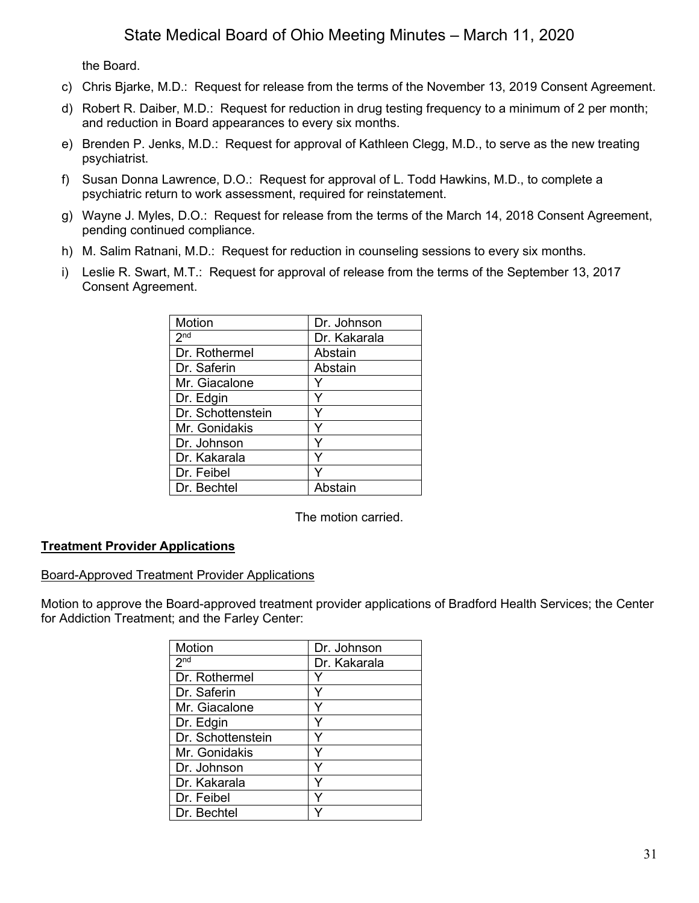the Board.

- c) Chris Bjarke, M.D.: Request for release from the terms of the November 13, 2019 Consent Agreement.
- d) Robert R. Daiber, M.D.: Request for reduction in drug testing frequency to a minimum of 2 per month; and reduction in Board appearances to every six months.
- e) Brenden P. Jenks, M.D.: Request for approval of Kathleen Clegg, M.D., to serve as the new treating psychiatrist.
- f) Susan Donna Lawrence, D.O.: Request for approval of L. Todd Hawkins, M.D., to complete a psychiatric return to work assessment, required for reinstatement.
- g) Wayne J. Myles, D.O.: Request for release from the terms of the March 14, 2018 Consent Agreement, pending continued compliance.
- h) M. Salim Ratnani, M.D.: Request for reduction in counseling sessions to every six months.
- i) Leslie R. Swart, M.T.: Request for approval of release from the terms of the September 13, 2017 Consent Agreement.

| Dr. Johnson  |
|--------------|
| Dr. Kakarala |
| Abstain      |
| Abstain      |
|              |
|              |
|              |
|              |
|              |
|              |
|              |
| Ahstain      |
|              |

The motion carried.

## **Treatment Provider Applications**

#### Board-Approved Treatment Provider Applications

Motion to approve the Board-approved treatment provider applications of Bradford Health Services; the Center for Addiction Treatment; and the Farley Center:

| Motion            | Dr. Johnson  |
|-------------------|--------------|
| 2 <sub>nd</sub>   | Dr. Kakarala |
| Dr. Rothermel     |              |
| Dr. Saferin       |              |
| Mr. Giacalone     |              |
| Dr. Edgin         | Y            |
| Dr. Schottenstein | Y            |
| Mr. Gonidakis     | Y            |
| Dr. Johnson       | Y            |
| Dr. Kakarala      | Y            |
| Dr. Feibel        | Y            |
| Dr. Bechtel       |              |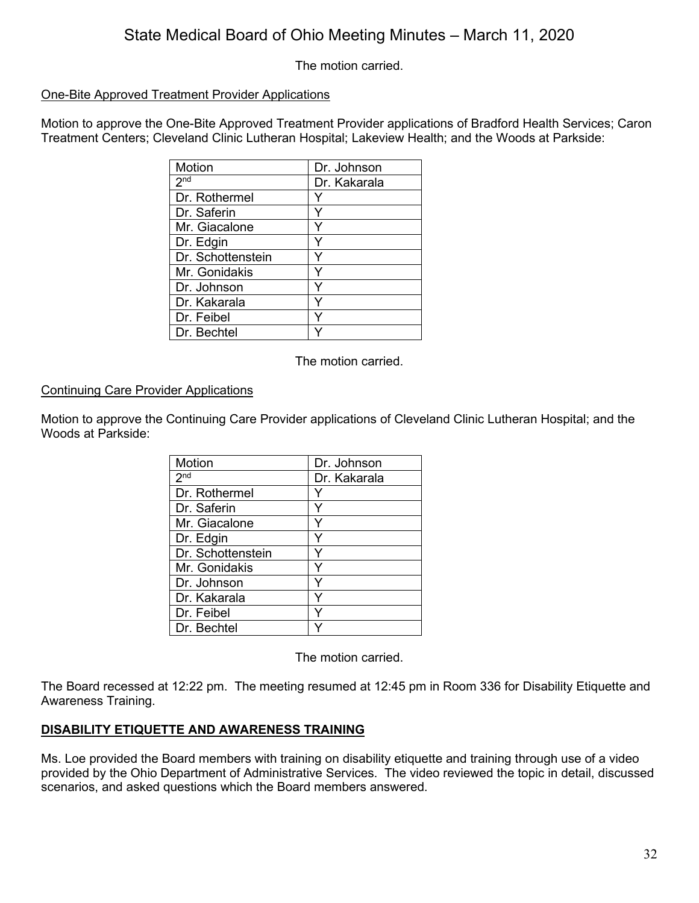The motion carried.

### One-Bite Approved Treatment Provider Applications

Motion to approve the One-Bite Approved Treatment Provider applications of Bradford Health Services; Caron Treatment Centers; Cleveland Clinic Lutheran Hospital; Lakeview Health; and the Woods at Parkside:

| <b>Motion</b>     | Dr. Johnson  |
|-------------------|--------------|
| 2 <sup>nd</sup>   | Dr. Kakarala |
| Dr. Rothermel     |              |
| Dr. Saferin       |              |
| Mr. Giacalone     |              |
| Dr. Edgin         |              |
| Dr. Schottenstein |              |
| Mr. Gonidakis     |              |
| Dr. Johnson       |              |
| Dr. Kakarala      |              |
| Dr. Feibel        |              |
| Dr. Bechtel       |              |

The motion carried.

#### Continuing Care Provider Applications

Motion to approve the Continuing Care Provider applications of Cleveland Clinic Lutheran Hospital; and the Woods at Parkside:

| <b>Motion</b>     | Dr. Johnson  |
|-------------------|--------------|
| 2 <sup>nd</sup>   | Dr. Kakarala |
| Dr. Rothermel     |              |
| Dr. Saferin       |              |
| Mr. Giacalone     |              |
| Dr. Edgin         |              |
| Dr. Schottenstein |              |
| Mr. Gonidakis     |              |
| Dr. Johnson       |              |
| Dr. Kakarala      | Υ            |
| Dr. Feibel        |              |
| Dr. Bechtel       |              |

The motion carried.

The Board recessed at 12:22 pm. The meeting resumed at 12:45 pm in Room 336 for Disability Etiquette and Awareness Training.

## **DISABILITY ETIQUETTE AND AWARENESS TRAINING**

Ms. Loe provided the Board members with training on disability etiquette and training through use of a video provided by the Ohio Department of Administrative Services. The video reviewed the topic in detail, discussed scenarios, and asked questions which the Board members answered.